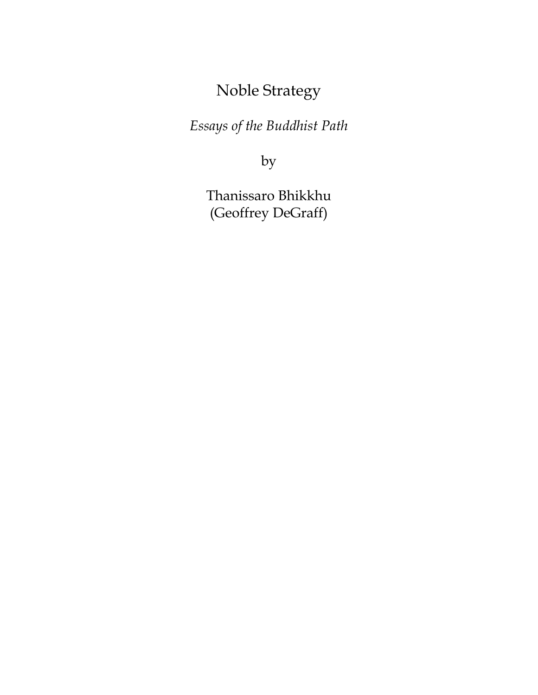# Noble Strategy

*Essays of the Buddhist Path* 

by

Thanissaro Bhikkhu (Geoffrey DeGraff)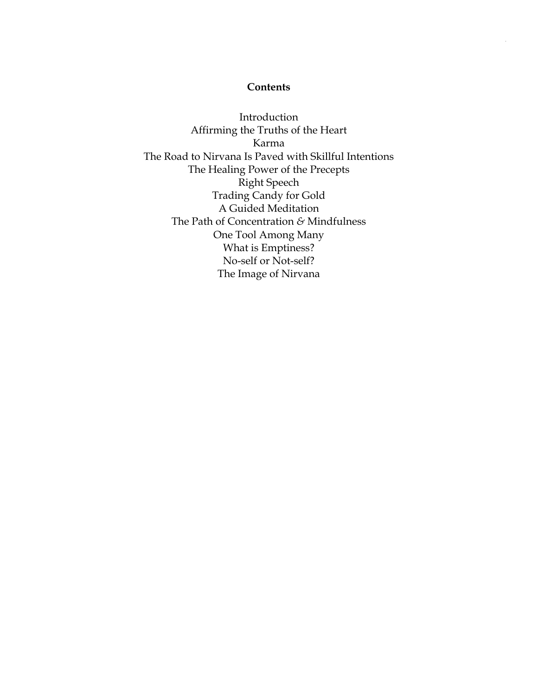# **Contents**

Introduction Affirming the Truths of the Heart Karma The Road to Nirvana Is Paved with Skillful Intentions The Healing Power of the Precepts Right Speech Trading Candy for Gold A Guided Meditation The Path of Concentration *&* Mindfulness One Tool Among Many What is Emptiness? No-self or Not-self? The Image of Nirvana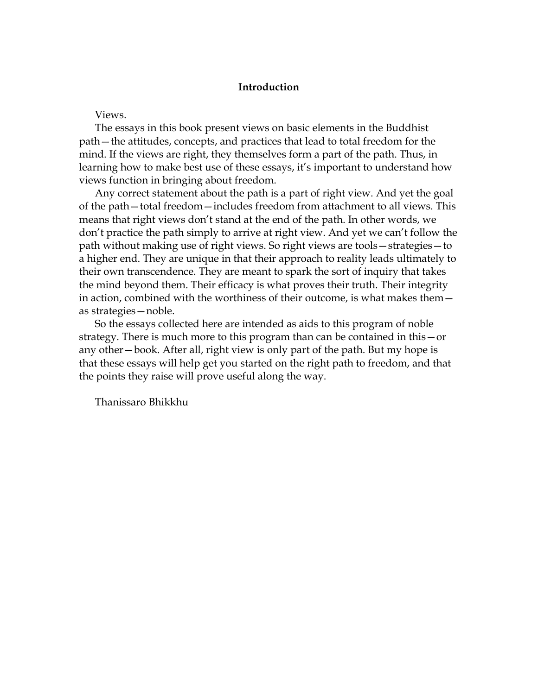## **Introduction**

Views.

The essays in this book present views on basic elements in the Buddhist path—the attitudes, concepts, and practices that lead to total freedom for the mind. If the views are right, they themselves form a part of the path. Thus, in learning how to make best use of these essays, it's important to understand how views function in bringing about freedom.

Any correct statement about the path is a part of right view. And yet the goal of the path—total freedom—includes freedom from attachment to all views. This means that right views don't stand at the end of the path. In other words, we don't practice the path simply to arrive at right view. And yet we can't follow the path without making use of right views. So right views are tools—strategies—to a higher end. They are unique in that their approach to reality leads ultimately to their own transcendence. They are meant to spark the sort of inquiry that takes the mind beyond them. Their efficacy is what proves their truth. Their integrity in action, combined with the worthiness of their outcome, is what makes them as strategies—noble.

So the essays collected here are intended as aids to this program of noble strategy. There is much more to this program than can be contained in this—or any other—book. After all, right view is only part of the path. But my hope is that these essays will help get you started on the right path to freedom, and that the points they raise will prove useful along the way.

Thanissaro Bhikkhu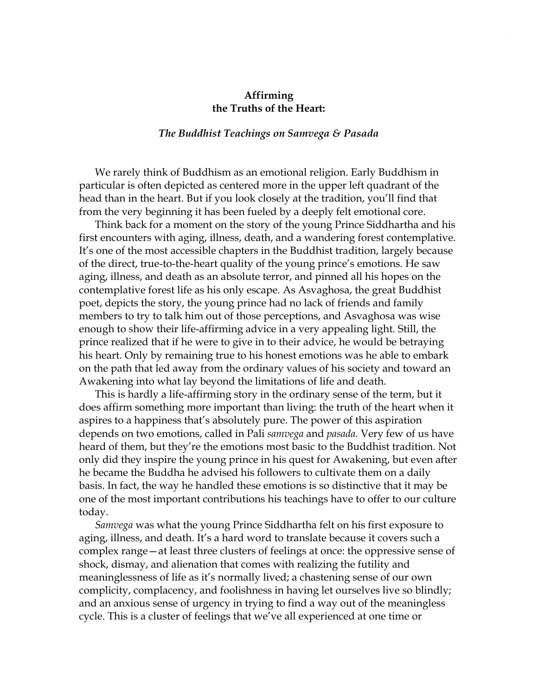# **Affirming the Truths of the Heart:**

#### *The Buddhist Teachings on Samvega & Pasada*

We rarely think of Buddhism as an emotional religion. Early Buddhism in particular is often depicted as centered more in the upper left quadrant of the head than in the heart. But if you look closely at the tradition, you'll find that from the very beginning it has been fueled by a deeply felt emotional core.

Think back for a moment on the story of the young Prince Siddhartha and his first encounters with aging, illness, death, and a wandering forest contemplative. It's one of the most accessible chapters in the Buddhist tradition, largely because of the direct, true-to-the-heart quality of the young prince's emotions. He saw aging, illness, and death as an absolute terror, and pinned all his hopes on the contemplative forest life as his only escape. As Asvaghosa, the great Buddhist poet, depicts the story, the young prince had no lack of friends and family members to try to talk him out of those perceptions, and Asvaghosa was wise enough to show their life-affirming advice in a very appealing light. Still, the prince realized that if he were to give in to their advice, he would be betraying his heart. Only by remaining true to his honest emotions was he able to embark on the path that led away from the ordinary values of his society and toward an Awakening into what lay beyond the limitations of life and death.

This is hardly a life-affirming story in the ordinary sense of the term, but it does affirm something more important than living: the truth of the heart when it aspires to a happiness that's absolutely pure. The power of this aspiration depends on two emotions, called in Pali *samvega* and *pasada.* Very few of us have heard of them, but they're the emotions most basic to the Buddhist tradition. Not only did they inspire the young prince in his quest for Awakening, but even after he became the Buddha he advised his followers to cultivate them on a daily basis. In fact, the way he handled these emotions is so distinctive that it may be one of the most important contributions his teachings have to offer to our culture today.

*Samvega* was what the young Prince Siddhartha felt on his first exposure to aging, illness, and death. It's a hard word to translate because it covers such a complex range—at least three clusters of feelings at once: the oppressive sense of shock, dismay, and alienation that comes with realizing the futility and meaninglessness of life as it's normally lived; a chastening sense of our own complicity, complacency, and foolishness in having let ourselves live so blindly; and an anxious sense of urgency in trying to find a way out of the meaningless cycle. This is a cluster of feelings that we've all experienced at one time or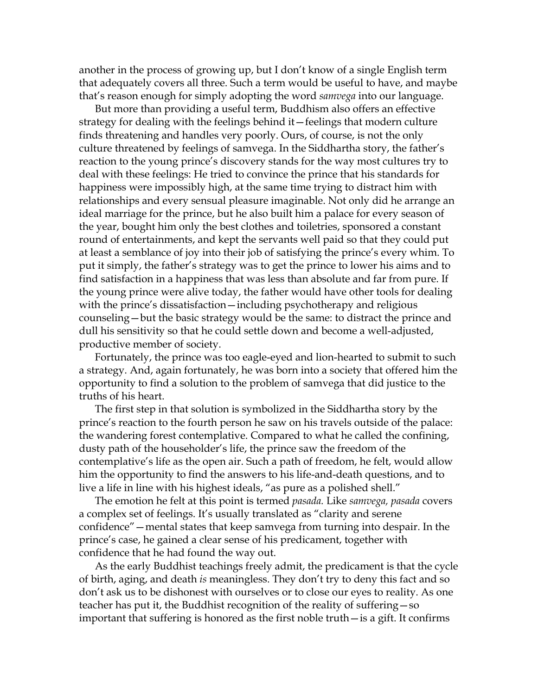another in the process of growing up, but I don't know of a single English term that adequately covers all three. Such a term would be useful to have, and maybe that's reason enough for simply adopting the word *samvega* into our language.

But more than providing a useful term, Buddhism also offers an effective strategy for dealing with the feelings behind it—feelings that modern culture finds threatening and handles very poorly. Ours, of course, is not the only culture threatened by feelings of samvega. In the Siddhartha story, the father's reaction to the young prince's discovery stands for the way most cultures try to deal with these feelings: He tried to convince the prince that his standards for happiness were impossibly high, at the same time trying to distract him with relationships and every sensual pleasure imaginable. Not only did he arrange an ideal marriage for the prince, but he also built him a palace for every season of the year, bought him only the best clothes and toiletries, sponsored a constant round of entertainments, and kept the servants well paid so that they could put at least a semblance of joy into their job of satisfying the prince's every whim. To put it simply, the father's strategy was to get the prince to lower his aims and to find satisfaction in a happiness that was less than absolute and far from pure. If the young prince were alive today, the father would have other tools for dealing with the prince's dissatisfaction—including psychotherapy and religious counseling—but the basic strategy would be the same: to distract the prince and dull his sensitivity so that he could settle down and become a well-adjusted, productive member of society.

Fortunately, the prince was too eagle-eyed and lion-hearted to submit to such a strategy. And, again fortunately, he was born into a society that offered him the opportunity to find a solution to the problem of samvega that did justice to the truths of his heart.

The first step in that solution is symbolized in the Siddhartha story by the prince's reaction to the fourth person he saw on his travels outside of the palace: the wandering forest contemplative. Compared to what he called the confining, dusty path of the householder's life, the prince saw the freedom of the contemplative's life as the open air. Such a path of freedom, he felt, would allow him the opportunity to find the answers to his life-and-death questions, and to live a life in line with his highest ideals, "as pure as a polished shell."

The emotion he felt at this point is termed *pasada.* Like *samvega, pasada* covers a complex set of feelings. It's usually translated as "clarity and serene confidence"—mental states that keep samvega from turning into despair. In the prince's case, he gained a clear sense of his predicament, together with confidence that he had found the way out.

As the early Buddhist teachings freely admit, the predicament is that the cycle of birth, aging, and death *is* meaningless. They don't try to deny this fact and so don't ask us to be dishonest with ourselves or to close our eyes to reality. As one teacher has put it, the Buddhist recognition of the reality of suffering—so important that suffering is honored as the first noble truth—is a gift. It confirms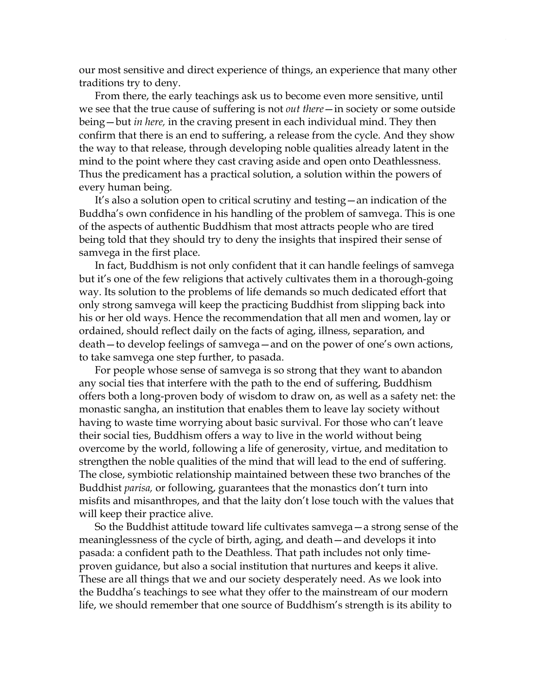our most sensitive and direct experience of things, an experience that many other traditions try to deny.

From there, the early teachings ask us to become even more sensitive, until we see that the true cause of suffering is not *out there*—in society or some outside being—but *in here,* in the craving present in each individual mind. They then confirm that there is an end to suffering, a release from the cycle. And they show the way to that release, through developing noble qualities already latent in the mind to the point where they cast craving aside and open onto Deathlessness. Thus the predicament has a practical solution, a solution within the powers of every human being.

It's also a solution open to critical scrutiny and testing—an indication of the Buddha's own confidence in his handling of the problem of samvega. This is one of the aspects of authentic Buddhism that most attracts people who are tired being told that they should try to deny the insights that inspired their sense of samvega in the first place.

In fact, Buddhism is not only confident that it can handle feelings of samvega but it's one of the few religions that actively cultivates them in a thorough-going way. Its solution to the problems of life demands so much dedicated effort that only strong samvega will keep the practicing Buddhist from slipping back into his or her old ways. Hence the recommendation that all men and women, lay or ordained, should reflect daily on the facts of aging, illness, separation, and death—to develop feelings of samvega—and on the power of one's own actions, to take samvega one step further, to pasada.

For people whose sense of samvega is so strong that they want to abandon any social ties that interfere with the path to the end of suffering, Buddhism offers both a long-proven body of wisdom to draw on, as well as a safety net: the monastic sangha, an institution that enables them to leave lay society without having to waste time worrying about basic survival. For those who can't leave their social ties, Buddhism offers a way to live in the world without being overcome by the world, following a life of generosity, virtue, and meditation to strengthen the noble qualities of the mind that will lead to the end of suffering. The close, symbiotic relationship maintained between these two branches of the Buddhist *parisa,* or following, guarantees that the monastics don't turn into misfits and misanthropes, and that the laity don't lose touch with the values that will keep their practice alive.

So the Buddhist attitude toward life cultivates samvega—a strong sense of the meaninglessness of the cycle of birth, aging, and death—and develops it into pasada: a confident path to the Deathless. That path includes not only timeproven guidance, but also a social institution that nurtures and keeps it alive. These are all things that we and our society desperately need. As we look into the Buddha's teachings to see what they offer to the mainstream of our modern life, we should remember that one source of Buddhism's strength is its ability to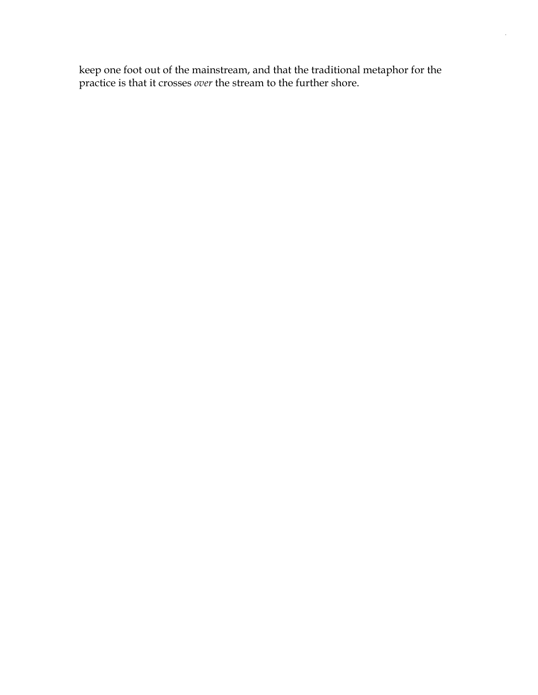keep one foot out of the mainstream, and that the traditional metaphor for the practice is that it crosses *over* the stream to the further shore.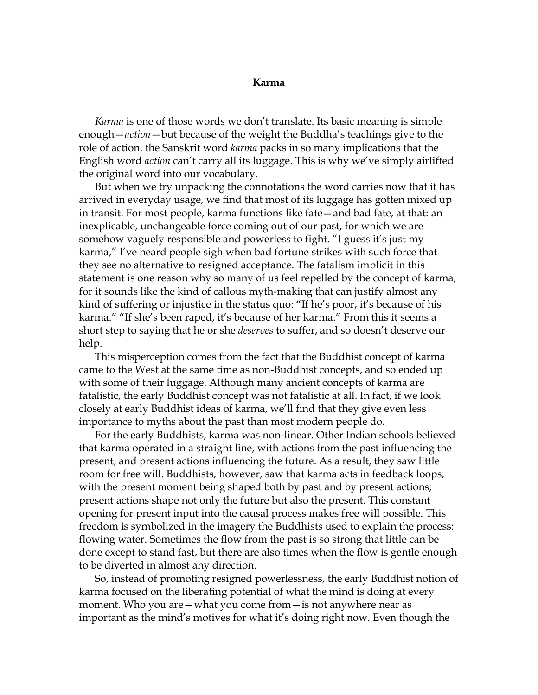# **Karma**

*Karma* is one of those words we don't translate. Its basic meaning is simple enough—*action*—but because of the weight the Buddha's teachings give to the role of action, the Sanskrit word *karma* packs in so many implications that the English word *action* can't carry all its luggage. This is why we've simply airlifted the original word into our vocabulary.

But when we try unpacking the connotations the word carries now that it has arrived in everyday usage, we find that most of its luggage has gotten mixed up in transit. For most people, karma functions like fate—and bad fate, at that: an inexplicable, unchangeable force coming out of our past, for which we are somehow vaguely responsible and powerless to fight. "I guess it's just my karma," I've heard people sigh when bad fortune strikes with such force that they see no alternative to resigned acceptance. The fatalism implicit in this statement is one reason why so many of us feel repelled by the concept of karma, for it sounds like the kind of callous myth-making that can justify almost any kind of suffering or injustice in the status quo: "If he's poor, it's because of his karma." "If she's been raped, it's because of her karma." From this it seems a short step to saying that he or she *deserves* to suffer, and so doesn't deserve our help.

This misperception comes from the fact that the Buddhist concept of karma came to the West at the same time as non-Buddhist concepts, and so ended up with some of their luggage. Although many ancient concepts of karma are fatalistic, the early Buddhist concept was not fatalistic at all. In fact, if we look closely at early Buddhist ideas of karma, we'll find that they give even less importance to myths about the past than most modern people do.

For the early Buddhists, karma was non-linear. Other Indian schools believed that karma operated in a straight line, with actions from the past influencing the present, and present actions influencing the future. As a result, they saw little room for free will. Buddhists, however, saw that karma acts in feedback loops, with the present moment being shaped both by past and by present actions; present actions shape not only the future but also the present. This constant opening for present input into the causal process makes free will possible. This freedom is symbolized in the imagery the Buddhists used to explain the process: flowing water. Sometimes the flow from the past is so strong that little can be done except to stand fast, but there are also times when the flow is gentle enough to be diverted in almost any direction.

So, instead of promoting resigned powerlessness, the early Buddhist notion of karma focused on the liberating potential of what the mind is doing at every moment. Who you are—what you come from—is not anywhere near as important as the mind's motives for what it's doing right now. Even though the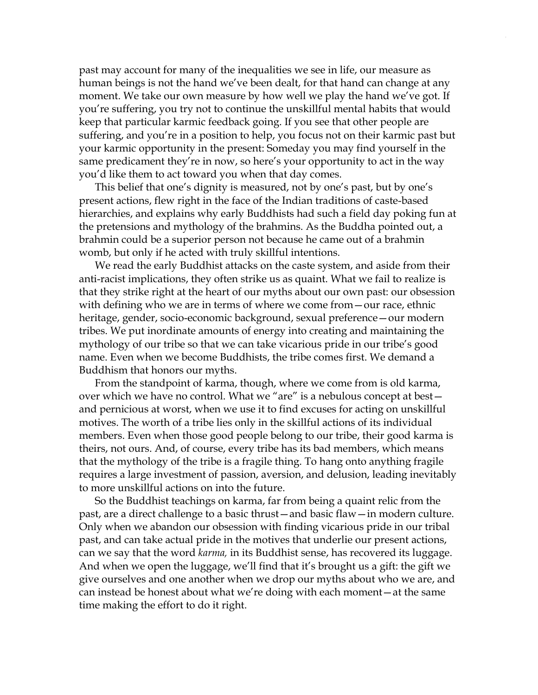past may account for many of the inequalities we see in life, our measure as human beings is not the hand we've been dealt, for that hand can change at any moment. We take our own measure by how well we play the hand we've got. If you're suffering, you try not to continue the unskillful mental habits that would keep that particular karmic feedback going. If you see that other people are suffering, and you're in a position to help, you focus not on their karmic past but your karmic opportunity in the present: Someday you may find yourself in the same predicament they're in now, so here's your opportunity to act in the way you'd like them to act toward you when that day comes.

This belief that one's dignity is measured, not by one's past, but by one's present actions, flew right in the face of the Indian traditions of caste-based hierarchies, and explains why early Buddhists had such a field day poking fun at the pretensions and mythology of the brahmins. As the Buddha pointed out, a brahmin could be a superior person not because he came out of a brahmin womb, but only if he acted with truly skillful intentions.

We read the early Buddhist attacks on the caste system, and aside from their anti-racist implications, they often strike us as quaint. What we fail to realize is that they strike right at the heart of our myths about our own past: our obsession with defining who we are in terms of where we come from—our race, ethnic heritage, gender, socio-economic background, sexual preference—our modern tribes. We put inordinate amounts of energy into creating and maintaining the mythology of our tribe so that we can take vicarious pride in our tribe's good name. Even when we become Buddhists, the tribe comes first. We demand a Buddhism that honors our myths.

From the standpoint of karma, though, where we come from is old karma, over which we have no control. What we "are" is a nebulous concept at best and pernicious at worst, when we use it to find excuses for acting on unskillful motives. The worth of a tribe lies only in the skillful actions of its individual members. Even when those good people belong to our tribe, their good karma is theirs, not ours. And, of course, every tribe has its bad members, which means that the mythology of the tribe is a fragile thing. To hang onto anything fragile requires a large investment of passion, aversion, and delusion, leading inevitably to more unskillful actions on into the future.

So the Buddhist teachings on karma, far from being a quaint relic from the past, are a direct challenge to a basic thrust—and basic flaw—in modern culture. Only when we abandon our obsession with finding vicarious pride in our tribal past, and can take actual pride in the motives that underlie our present actions, can we say that the word *karma,* in its Buddhist sense, has recovered its luggage. And when we open the luggage, we'll find that it's brought us a gift: the gift we give ourselves and one another when we drop our myths about who we are, and can instead be honest about what we're doing with each moment—at the same time making the effort to do it right.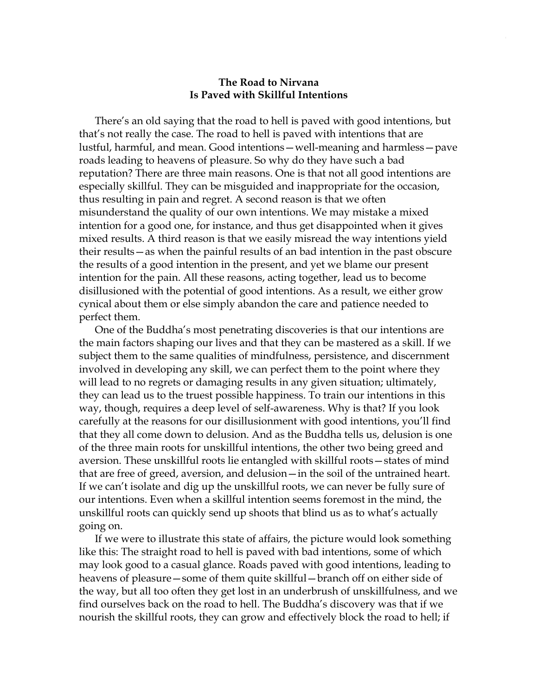# **The Road to Nirvana Is Paved with Skillful Intentions**

There's an old saying that the road to hell is paved with good intentions, but that's not really the case. The road to hell is paved with intentions that are lustful, harmful, and mean. Good intentions—well-meaning and harmless—pave roads leading to heavens of pleasure. So why do they have such a bad reputation? There are three main reasons. One is that not all good intentions are especially skillful. They can be misguided and inappropriate for the occasion, thus resulting in pain and regret. A second reason is that we often misunderstand the quality of our own intentions. We may mistake a mixed intention for a good one, for instance, and thus get disappointed when it gives mixed results. A third reason is that we easily misread the way intentions yield their results—as when the painful results of an bad intention in the past obscure the results of a good intention in the present, and yet we blame our present intention for the pain. All these reasons, acting together, lead us to become disillusioned with the potential of good intentions. As a result, we either grow cynical about them or else simply abandon the care and patience needed to perfect them.

One of the Buddha's most penetrating discoveries is that our intentions are the main factors shaping our lives and that they can be mastered as a skill. If we subject them to the same qualities of mindfulness, persistence, and discernment involved in developing any skill, we can perfect them to the point where they will lead to no regrets or damaging results in any given situation; ultimately, they can lead us to the truest possible happiness. To train our intentions in this way, though, requires a deep level of self-awareness. Why is that? If you look carefully at the reasons for our disillusionment with good intentions, you'll find that they all come down to delusion. And as the Buddha tells us, delusion is one of the three main roots for unskillful intentions, the other two being greed and aversion. These unskillful roots lie entangled with skillful roots—states of mind that are free of greed, aversion, and delusion—in the soil of the untrained heart. If we can't isolate and dig up the unskillful roots, we can never be fully sure of our intentions. Even when a skillful intention seems foremost in the mind, the unskillful roots can quickly send up shoots that blind us as to what's actually going on.

If we were to illustrate this state of affairs, the picture would look something like this: The straight road to hell is paved with bad intentions, some of which may look good to a casual glance. Roads paved with good intentions, leading to heavens of pleasure—some of them quite skillful—branch off on either side of the way, but all too often they get lost in an underbrush of unskillfulness, and we find ourselves back on the road to hell. The Buddha's discovery was that if we nourish the skillful roots, they can grow and effectively block the road to hell; if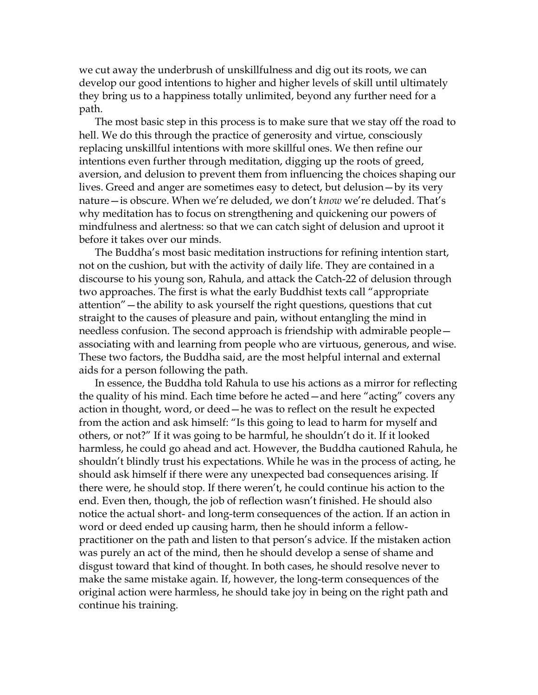we cut away the underbrush of unskillfulness and dig out its roots, we can develop our good intentions to higher and higher levels of skill until ultimately they bring us to a happiness totally unlimited, beyond any further need for a path.

The most basic step in this process is to make sure that we stay off the road to hell. We do this through the practice of generosity and virtue, consciously replacing unskillful intentions with more skillful ones. We then refine our intentions even further through meditation, digging up the roots of greed, aversion, and delusion to prevent them from influencing the choices shaping our lives. Greed and anger are sometimes easy to detect, but delusion—by its very nature—is obscure. When we're deluded, we don't *know* we're deluded. That's why meditation has to focus on strengthening and quickening our powers of mindfulness and alertness: so that we can catch sight of delusion and uproot it before it takes over our minds.

The Buddha's most basic meditation instructions for refining intention start, not on the cushion, but with the activity of daily life. They are contained in a discourse to his young son, Rahula, and attack the Catch-22 of delusion through two approaches. The first is what the early Buddhist texts call "appropriate attention"—the ability to ask yourself the right questions, questions that cut straight to the causes of pleasure and pain, without entangling the mind in needless confusion. The second approach is friendship with admirable people associating with and learning from people who are virtuous, generous, and wise. These two factors, the Buddha said, are the most helpful internal and external aids for a person following the path.

In essence, the Buddha told Rahula to use his actions as a mirror for reflecting the quality of his mind. Each time before he acted—and here "acting" covers any action in thought, word, or deed—he was to reflect on the result he expected from the action and ask himself: "Is this going to lead to harm for myself and others, or not?" If it was going to be harmful, he shouldn't do it. If it looked harmless, he could go ahead and act. However, the Buddha cautioned Rahula, he shouldn't blindly trust his expectations. While he was in the process of acting, he should ask himself if there were any unexpected bad consequences arising. If there were, he should stop. If there weren't, he could continue his action to the end. Even then, though, the job of reflection wasn't finished. He should also notice the actual short- and long-term consequences of the action. If an action in word or deed ended up causing harm, then he should inform a fellowpractitioner on the path and listen to that person's advice. If the mistaken action was purely an act of the mind, then he should develop a sense of shame and disgust toward that kind of thought. In both cases, he should resolve never to make the same mistake again. If, however, the long-term consequences of the original action were harmless, he should take joy in being on the right path and continue his training.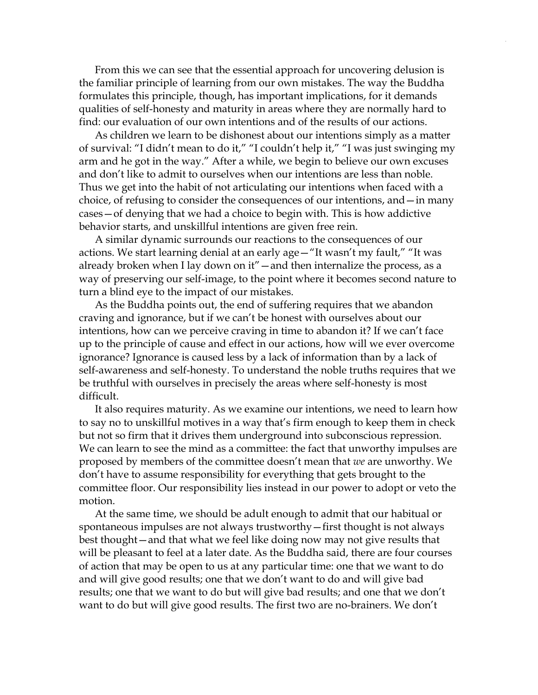From this we can see that the essential approach for uncovering delusion is the familiar principle of learning from our own mistakes. The way the Buddha formulates this principle, though, has important implications, for it demands qualities of self-honesty and maturity in areas where they are normally hard to find: our evaluation of our own intentions and of the results of our actions.

As children we learn to be dishonest about our intentions simply as a matter of survival: "I didn't mean to do it," "I couldn't help it," "I was just swinging my arm and he got in the way." After a while, we begin to believe our own excuses and don't like to admit to ourselves when our intentions are less than noble. Thus we get into the habit of not articulating our intentions when faced with a choice, of refusing to consider the consequences of our intentions, and—in many cases—of denying that we had a choice to begin with. This is how addictive behavior starts, and unskillful intentions are given free rein.

A similar dynamic surrounds our reactions to the consequences of our actions. We start learning denial at an early age—"It wasn't my fault," "It was already broken when I lay down on it"—and then internalize the process, as a way of preserving our self-image, to the point where it becomes second nature to turn a blind eye to the impact of our mistakes.

As the Buddha points out, the end of suffering requires that we abandon craving and ignorance, but if we can't be honest with ourselves about our intentions, how can we perceive craving in time to abandon it? If we can't face up to the principle of cause and effect in our actions, how will we ever overcome ignorance? Ignorance is caused less by a lack of information than by a lack of self-awareness and self-honesty. To understand the noble truths requires that we be truthful with ourselves in precisely the areas where self-honesty is most difficult.

It also requires maturity. As we examine our intentions, we need to learn how to say no to unskillful motives in a way that's firm enough to keep them in check but not so firm that it drives them underground into subconscious repression. We can learn to see the mind as a committee: the fact that unworthy impulses are proposed by members of the committee doesn't mean that *we* are unworthy. We don't have to assume responsibility for everything that gets brought to the committee floor. Our responsibility lies instead in our power to adopt or veto the motion.

At the same time, we should be adult enough to admit that our habitual or spontaneous impulses are not always trustworthy—first thought is not always best thought—and that what we feel like doing now may not give results that will be pleasant to feel at a later date. As the Buddha said, there are four courses of action that may be open to us at any particular time: one that we want to do and will give good results; one that we don't want to do and will give bad results; one that we want to do but will give bad results; and one that we don't want to do but will give good results. The first two are no-brainers. We don't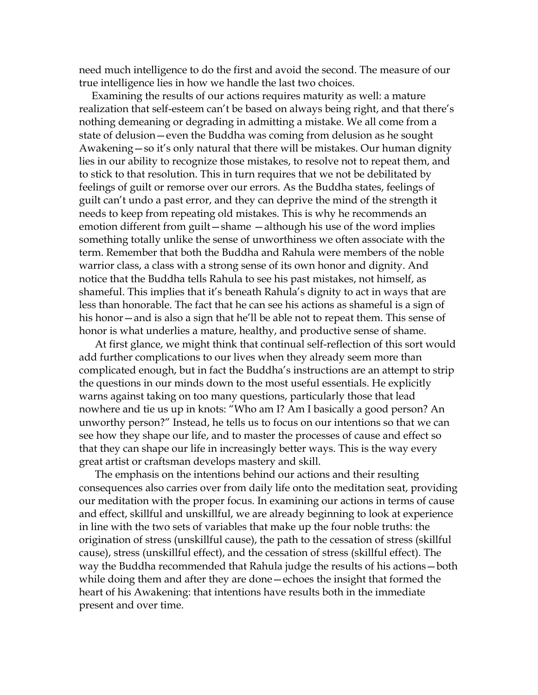need much intelligence to do the first and avoid the second. The measure of our true intelligence lies in how we handle the last two choices.

Examining the results of our actions requires maturity as well: a mature realization that self-esteem can't be based on always being right, and that there's nothing demeaning or degrading in admitting a mistake. We all come from a state of delusion—even the Buddha was coming from delusion as he sought Awakening—so it's only natural that there will be mistakes. Our human dignity lies in our ability to recognize those mistakes, to resolve not to repeat them, and to stick to that resolution. This in turn requires that we not be debilitated by feelings of guilt or remorse over our errors. As the Buddha states, feelings of guilt can't undo a past error, and they can deprive the mind of the strength it needs to keep from repeating old mistakes. This is why he recommends an emotion different from guilt—shame —although his use of the word implies something totally unlike the sense of unworthiness we often associate with the term. Remember that both the Buddha and Rahula were members of the noble warrior class, a class with a strong sense of its own honor and dignity. And notice that the Buddha tells Rahula to see his past mistakes, not himself, as shameful. This implies that it's beneath Rahula's dignity to act in ways that are less than honorable. The fact that he can see his actions as shameful is a sign of his honor—and is also a sign that he'll be able not to repeat them. This sense of honor is what underlies a mature, healthy, and productive sense of shame.

At first glance, we might think that continual self-reflection of this sort would add further complications to our lives when they already seem more than complicated enough, but in fact the Buddha's instructions are an attempt to strip the questions in our minds down to the most useful essentials. He explicitly warns against taking on too many questions, particularly those that lead nowhere and tie us up in knots: "Who am I? Am I basically a good person? An unworthy person?" Instead, he tells us to focus on our intentions so that we can see how they shape our life, and to master the processes of cause and effect so that they can shape our life in increasingly better ways. This is the way every great artist or craftsman develops mastery and skill.

The emphasis on the intentions behind our actions and their resulting consequences also carries over from daily life onto the meditation seat, providing our meditation with the proper focus. In examining our actions in terms of cause and effect, skillful and unskillful, we are already beginning to look at experience in line with the two sets of variables that make up the four noble truths: the origination of stress (unskillful cause), the path to the cessation of stress (skillful cause), stress (unskillful effect), and the cessation of stress (skillful effect). The way the Buddha recommended that Rahula judge the results of his actions—both while doing them and after they are done—echoes the insight that formed the heart of his Awakening: that intentions have results both in the immediate present and over time.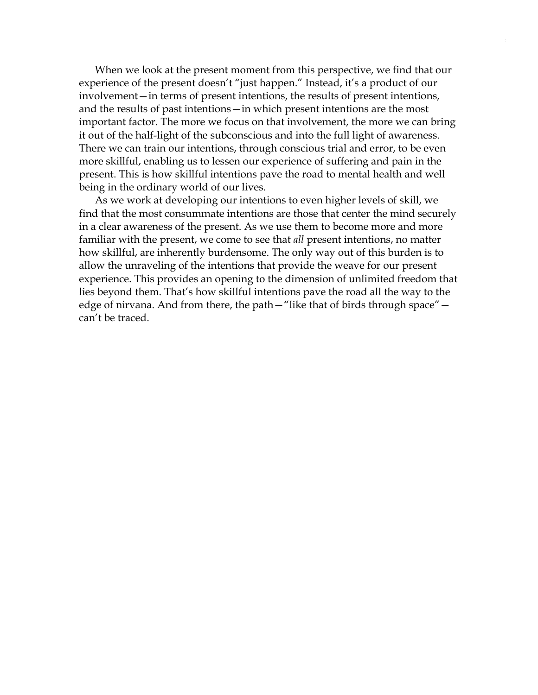When we look at the present moment from this perspective, we find that our experience of the present doesn't "just happen." Instead, it's a product of our involvement—in terms of present intentions, the results of present intentions, and the results of past intentions—in which present intentions are the most important factor. The more we focus on that involvement, the more we can bring it out of the half-light of the subconscious and into the full light of awareness. There we can train our intentions, through conscious trial and error, to be even more skillful, enabling us to lessen our experience of suffering and pain in the present. This is how skillful intentions pave the road to mental health and well being in the ordinary world of our lives.

As we work at developing our intentions to even higher levels of skill, we find that the most consummate intentions are those that center the mind securely in a clear awareness of the present. As we use them to become more and more familiar with the present, we come to see that *all* present intentions, no matter how skillful, are inherently burdensome. The only way out of this burden is to allow the unraveling of the intentions that provide the weave for our present experience. This provides an opening to the dimension of unlimited freedom that lies beyond them. That's how skillful intentions pave the road all the way to the edge of nirvana. And from there, the path - "like that of birds through space" can't be traced.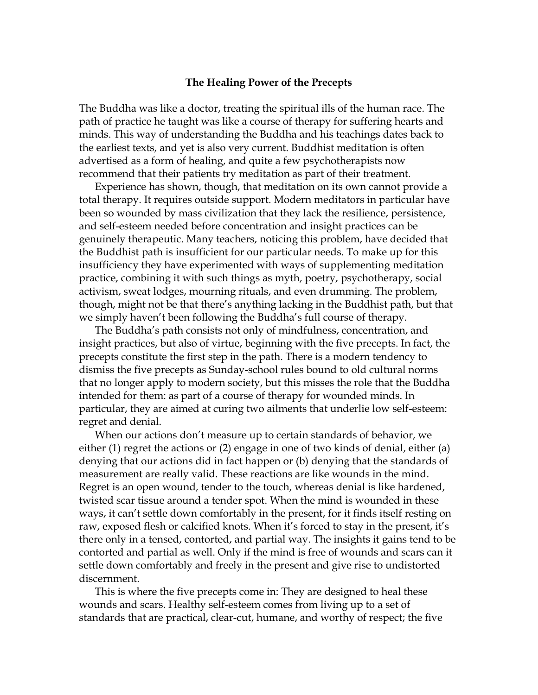#### **The Healing Power of the Precepts**

The Buddha was like a doctor, treating the spiritual ills of the human race. The path of practice he taught was like a course of therapy for suffering hearts and minds. This way of understanding the Buddha and his teachings dates back to the earliest texts, and yet is also very current. Buddhist meditation is often advertised as a form of healing, and quite a few psychotherapists now recommend that their patients try meditation as part of their treatment.

Experience has shown, though, that meditation on its own cannot provide a total therapy. It requires outside support. Modern meditators in particular have been so wounded by mass civilization that they lack the resilience, persistence, and self-esteem needed before concentration and insight practices can be genuinely therapeutic. Many teachers, noticing this problem, have decided that the Buddhist path is insufficient for our particular needs. To make up for this insufficiency they have experimented with ways of supplementing meditation practice, combining it with such things as myth, poetry, psychotherapy, social activism, sweat lodges, mourning rituals, and even drumming. The problem, though, might not be that there's anything lacking in the Buddhist path, but that we simply haven't been following the Buddha's full course of therapy.

The Buddha's path consists not only of mindfulness, concentration, and insight practices, but also of virtue, beginning with the five precepts. In fact, the precepts constitute the first step in the path. There is a modern tendency to dismiss the five precepts as Sunday-school rules bound to old cultural norms that no longer apply to modern society, but this misses the role that the Buddha intended for them: as part of a course of therapy for wounded minds. In particular, they are aimed at curing two ailments that underlie low self-esteem: regret and denial.

When our actions don't measure up to certain standards of behavior, we either (1) regret the actions or (2) engage in one of two kinds of denial, either (a) denying that our actions did in fact happen or (b) denying that the standards of measurement are really valid. These reactions are like wounds in the mind. Regret is an open wound, tender to the touch, whereas denial is like hardened, twisted scar tissue around a tender spot. When the mind is wounded in these ways, it can't settle down comfortably in the present, for it finds itself resting on raw, exposed flesh or calcified knots. When it's forced to stay in the present, it's there only in a tensed, contorted, and partial way. The insights it gains tend to be contorted and partial as well. Only if the mind is free of wounds and scars can it settle down comfortably and freely in the present and give rise to undistorted discernment.

This is where the five precepts come in: They are designed to heal these wounds and scars. Healthy self-esteem comes from living up to a set of standards that are practical, clear-cut, humane, and worthy of respect; the five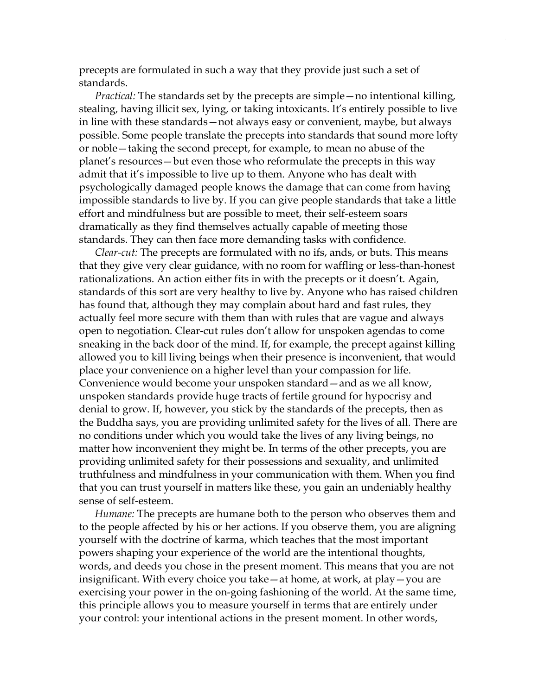precepts are formulated in such a way that they provide just such a set of standards.

*Practical:* The standards set by the precepts are simple—no intentional killing, stealing, having illicit sex, lying, or taking intoxicants. It's entirely possible to live in line with these standards—not always easy or convenient, maybe, but always possible. Some people translate the precepts into standards that sound more lofty or noble—taking the second precept, for example, to mean no abuse of the planet's resources—but even those who reformulate the precepts in this way admit that it's impossible to live up to them. Anyone who has dealt with psychologically damaged people knows the damage that can come from having impossible standards to live by. If you can give people standards that take a little effort and mindfulness but are possible to meet, their self-esteem soars dramatically as they find themselves actually capable of meeting those standards. They can then face more demanding tasks with confidence.

*Clear-cut:* The precepts are formulated with no ifs, ands, or buts. This means that they give very clear guidance, with no room for waffling or less-than-honest rationalizations. An action either fits in with the precepts or it doesn't. Again, standards of this sort are very healthy to live by. Anyone who has raised children has found that, although they may complain about hard and fast rules, they actually feel more secure with them than with rules that are vague and always open to negotiation. Clear-cut rules don't allow for unspoken agendas to come sneaking in the back door of the mind. If, for example, the precept against killing allowed you to kill living beings when their presence is inconvenient, that would place your convenience on a higher level than your compassion for life. Convenience would become your unspoken standard—and as we all know, unspoken standards provide huge tracts of fertile ground for hypocrisy and denial to grow. If, however, you stick by the standards of the precepts, then as the Buddha says, you are providing unlimited safety for the lives of all. There are no conditions under which you would take the lives of any living beings, no matter how inconvenient they might be. In terms of the other precepts, you are providing unlimited safety for their possessions and sexuality, and unlimited truthfulness and mindfulness in your communication with them. When you find that you can trust yourself in matters like these, you gain an undeniably healthy sense of self-esteem.

*Humane:* The precepts are humane both to the person who observes them and to the people affected by his or her actions. If you observe them, you are aligning yourself with the doctrine of karma, which teaches that the most important powers shaping your experience of the world are the intentional thoughts, words, and deeds you chose in the present moment. This means that you are not insignificant. With every choice you take—at home, at work, at play—you are exercising your power in the on-going fashioning of the world. At the same time, this principle allows you to measure yourself in terms that are entirely under your control: your intentional actions in the present moment. In other words,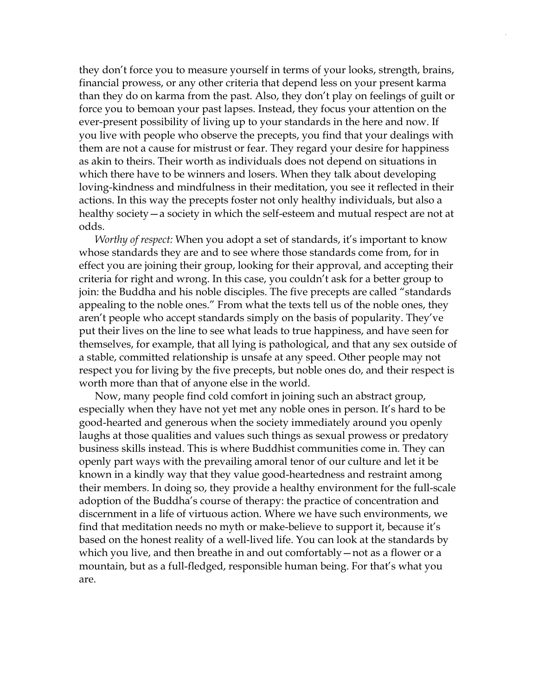they don't force you to measure yourself in terms of your looks, strength, brains, financial prowess, or any other criteria that depend less on your present karma than they do on karma from the past. Also, they don't play on feelings of guilt or force you to bemoan your past lapses. Instead, they focus your attention on the ever-present possibility of living up to your standards in the here and now. If you live with people who observe the precepts, you find that your dealings with them are not a cause for mistrust or fear. They regard your desire for happiness as akin to theirs. Their worth as individuals does not depend on situations in which there have to be winners and losers. When they talk about developing loving-kindness and mindfulness in their meditation, you see it reflected in their actions. In this way the precepts foster not only healthy individuals, but also a healthy society—a society in which the self-esteem and mutual respect are not at odds.

*Worthy of respect:* When you adopt a set of standards, it's important to know whose standards they are and to see where those standards come from, for in effect you are joining their group, looking for their approval, and accepting their criteria for right and wrong. In this case, you couldn't ask for a better group to join: the Buddha and his noble disciples. The five precepts are called "standards appealing to the noble ones." From what the texts tell us of the noble ones, they aren't people who accept standards simply on the basis of popularity. They've put their lives on the line to see what leads to true happiness, and have seen for themselves, for example, that all lying is pathological, and that any sex outside of a stable, committed relationship is unsafe at any speed. Other people may not respect you for living by the five precepts, but noble ones do, and their respect is worth more than that of anyone else in the world.

Now, many people find cold comfort in joining such an abstract group, especially when they have not yet met any noble ones in person. It's hard to be good-hearted and generous when the society immediately around you openly laughs at those qualities and values such things as sexual prowess or predatory business skills instead. This is where Buddhist communities come in. They can openly part ways with the prevailing amoral tenor of our culture and let it be known in a kindly way that they value good-heartedness and restraint among their members. In doing so, they provide a healthy environment for the full-scale adoption of the Buddha's course of therapy: the practice of concentration and discernment in a life of virtuous action. Where we have such environments, we find that meditation needs no myth or make-believe to support it, because it's based on the honest reality of a well-lived life. You can look at the standards by which you live, and then breathe in and out comfortably—not as a flower or a mountain, but as a full-fledged, responsible human being. For that's what you are.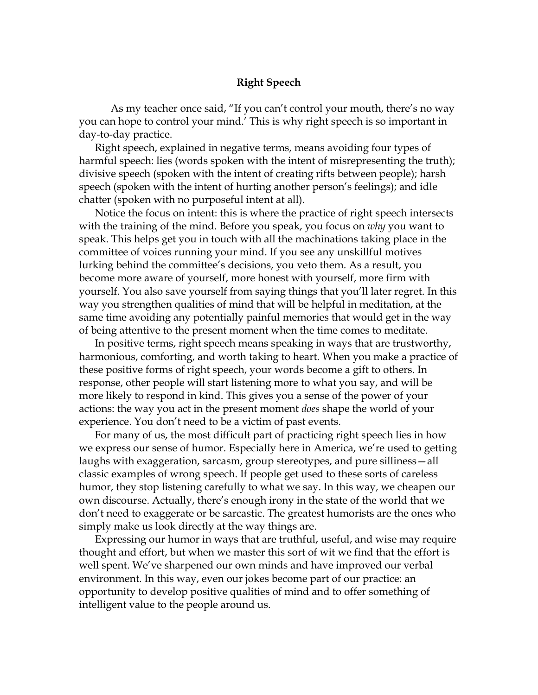# **Right Speech**

As my teacher once said, "If you can't control your mouth, there's no way you can hope to control your mind.' This is why right speech is so important in day-to-day practice.

Right speech, explained in negative terms, means avoiding four types of harmful speech: lies (words spoken with the intent of misrepresenting the truth); divisive speech (spoken with the intent of creating rifts between people); harsh speech (spoken with the intent of hurting another person's feelings); and idle chatter (spoken with no purposeful intent at all).

Notice the focus on intent: this is where the practice of right speech intersects with the training of the mind. Before you speak, you focus on *why* you want to speak. This helps get you in touch with all the machinations taking place in the committee of voices running your mind. If you see any unskillful motives lurking behind the committee's decisions, you veto them. As a result, you become more aware of yourself, more honest with yourself, more firm with yourself. You also save yourself from saying things that you'll later regret. In this way you strengthen qualities of mind that will be helpful in meditation, at the same time avoiding any potentially painful memories that would get in the way of being attentive to the present moment when the time comes to meditate.

In positive terms, right speech means speaking in ways that are trustworthy, harmonious, comforting, and worth taking to heart. When you make a practice of these positive forms of right speech, your words become a gift to others. In response, other people will start listening more to what you say, and will be more likely to respond in kind. This gives you a sense of the power of your actions: the way you act in the present moment *does* shape the world of your experience. You don't need to be a victim of past events.

For many of us, the most difficult part of practicing right speech lies in how we express our sense of humor. Especially here in America, we're used to getting laughs with exaggeration, sarcasm, group stereotypes, and pure silliness—all classic examples of wrong speech. If people get used to these sorts of careless humor, they stop listening carefully to what we say. In this way, we cheapen our own discourse. Actually, there's enough irony in the state of the world that we don't need to exaggerate or be sarcastic. The greatest humorists are the ones who simply make us look directly at the way things are.

Expressing our humor in ways that are truthful, useful, and wise may require thought and effort, but when we master this sort of wit we find that the effort is well spent. We've sharpened our own minds and have improved our verbal environment. In this way, even our jokes become part of our practice: an opportunity to develop positive qualities of mind and to offer something of intelligent value to the people around us.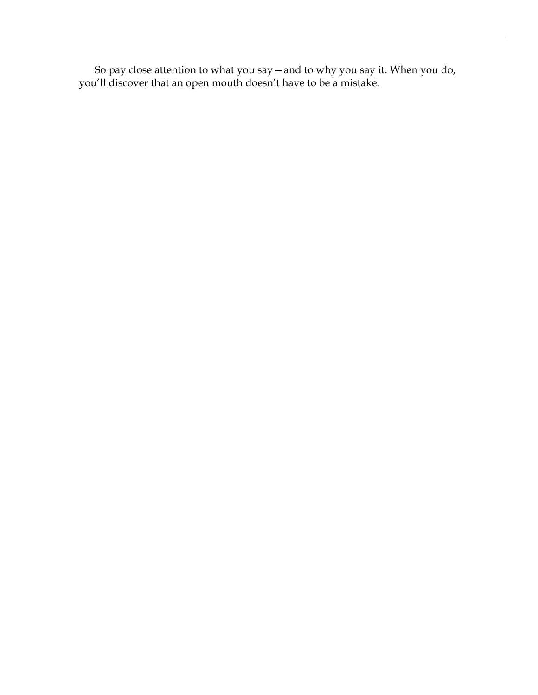So pay close attention to what you say—and to why you say it. When you do, you'll discover that an open mouth doesn't have to be a mistake.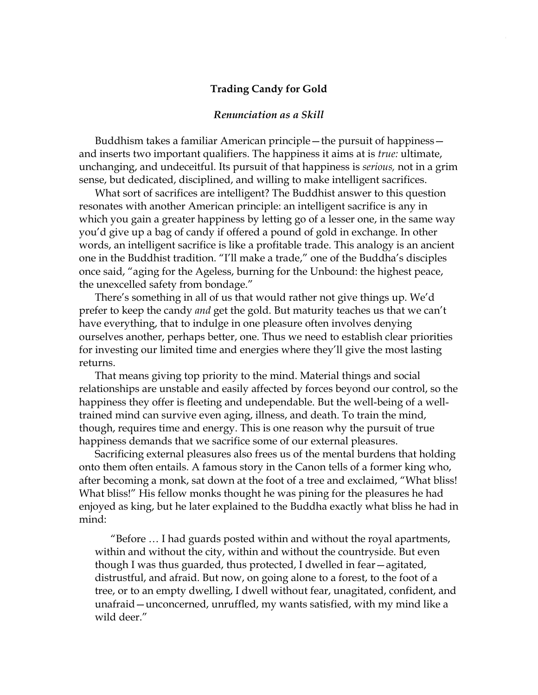# **Trading Candy for Gold**

## *Renunciation as a Skill*

Buddhism takes a familiar American principle—the pursuit of happiness and inserts two important qualifiers. The happiness it aims at is *true:* ultimate, unchanging, and undeceitful. Its pursuit of that happiness is *serious,* not in a grim sense, but dedicated, disciplined, and willing to make intelligent sacrifices.

What sort of sacrifices are intelligent? The Buddhist answer to this question resonates with another American principle: an intelligent sacrifice is any in which you gain a greater happiness by letting go of a lesser one, in the same way you'd give up a bag of candy if offered a pound of gold in exchange. In other words, an intelligent sacrifice is like a profitable trade. This analogy is an ancient one in the Buddhist tradition. "I'll make a trade," one of the Buddha's disciples once said, "aging for the Ageless, burning for the Unbound: the highest peace, the unexcelled safety from bondage."

There's something in all of us that would rather not give things up. We'd prefer to keep the candy *and* get the gold. But maturity teaches us that we can't have everything, that to indulge in one pleasure often involves denying ourselves another, perhaps better, one. Thus we need to establish clear priorities for investing our limited time and energies where they'll give the most lasting returns.

That means giving top priority to the mind. Material things and social relationships are unstable and easily affected by forces beyond our control, so the happiness they offer is fleeting and undependable. But the well-being of a welltrained mind can survive even aging, illness, and death. To train the mind, though, requires time and energy. This is one reason why the pursuit of true happiness demands that we sacrifice some of our external pleasures.

Sacrificing external pleasures also frees us of the mental burdens that holding onto them often entails. A famous story in the Canon tells of a former king who, after becoming a monk, sat down at the foot of a tree and exclaimed, "What bliss! What bliss!" His fellow monks thought he was pining for the pleasures he had enjoyed as king, but he later explained to the Buddha exactly what bliss he had in mind:

"Before … I had guards posted within and without the royal apartments, within and without the city, within and without the countryside. But even though I was thus guarded, thus protected, I dwelled in fear—agitated, distrustful, and afraid. But now, on going alone to a forest, to the foot of a tree, or to an empty dwelling, I dwell without fear, unagitated, confident, and unafraid—unconcerned, unruffled, my wants satisfied, with my mind like a wild deer."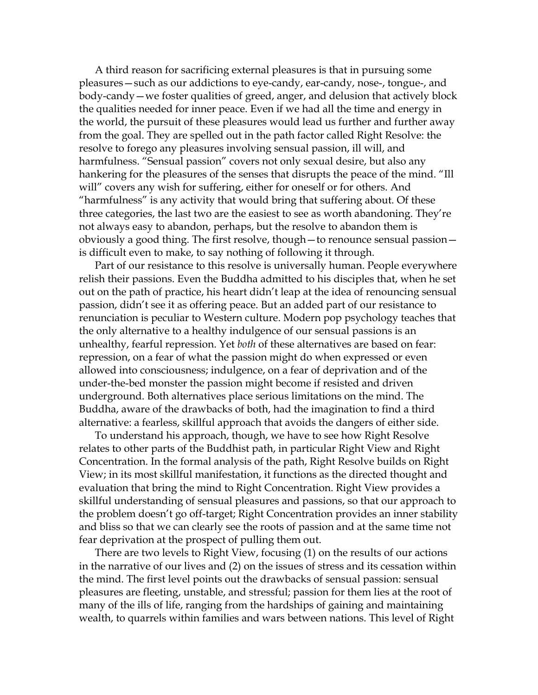A third reason for sacrificing external pleasures is that in pursuing some pleasures—such as our addictions to eye-candy, ear-candy, nose-, tongue-, and body-candy—we foster qualities of greed, anger, and delusion that actively block the qualities needed for inner peace. Even if we had all the time and energy in the world, the pursuit of these pleasures would lead us further and further away from the goal. They are spelled out in the path factor called Right Resolve: the resolve to forego any pleasures involving sensual passion, ill will, and harmfulness. "Sensual passion" covers not only sexual desire, but also any hankering for the pleasures of the senses that disrupts the peace of the mind. "Ill will" covers any wish for suffering, either for oneself or for others. And "harmfulness" is any activity that would bring that suffering about. Of these three categories, the last two are the easiest to see as worth abandoning. They're not always easy to abandon, perhaps, but the resolve to abandon them is obviously a good thing. The first resolve, though—to renounce sensual passion is difficult even to make, to say nothing of following it through.

Part of our resistance to this resolve is universally human. People everywhere relish their passions. Even the Buddha admitted to his disciples that, when he set out on the path of practice, his heart didn't leap at the idea of renouncing sensual passion, didn't see it as offering peace. But an added part of our resistance to renunciation is peculiar to Western culture. Modern pop psychology teaches that the only alternative to a healthy indulgence of our sensual passions is an unhealthy, fearful repression. Yet *both* of these alternatives are based on fear: repression, on a fear of what the passion might do when expressed or even allowed into consciousness; indulgence, on a fear of deprivation and of the under-the-bed monster the passion might become if resisted and driven underground. Both alternatives place serious limitations on the mind. The Buddha, aware of the drawbacks of both, had the imagination to find a third alternative: a fearless, skillful approach that avoids the dangers of either side.

To understand his approach, though, we have to see how Right Resolve relates to other parts of the Buddhist path, in particular Right View and Right Concentration. In the formal analysis of the path, Right Resolve builds on Right View; in its most skillful manifestation, it functions as the directed thought and evaluation that bring the mind to Right Concentration. Right View provides a skillful understanding of sensual pleasures and passions, so that our approach to the problem doesn't go off-target; Right Concentration provides an inner stability and bliss so that we can clearly see the roots of passion and at the same time not fear deprivation at the prospect of pulling them out.

There are two levels to Right View, focusing (1) on the results of our actions in the narrative of our lives and (2) on the issues of stress and its cessation within the mind. The first level points out the drawbacks of sensual passion: sensual pleasures are fleeting, unstable, and stressful; passion for them lies at the root of many of the ills of life, ranging from the hardships of gaining and maintaining wealth, to quarrels within families and wars between nations. This level of Right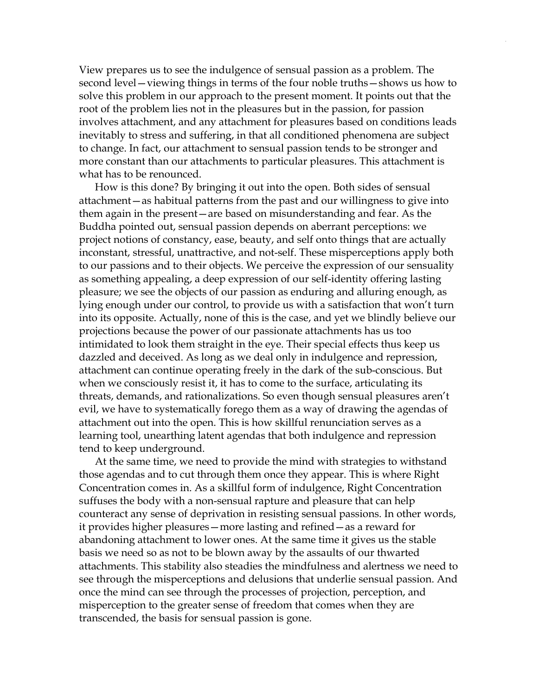View prepares us to see the indulgence of sensual passion as a problem. The second level—viewing things in terms of the four noble truths—shows us how to solve this problem in our approach to the present moment. It points out that the root of the problem lies not in the pleasures but in the passion, for passion involves attachment, and any attachment for pleasures based on conditions leads inevitably to stress and suffering, in that all conditioned phenomena are subject to change. In fact, our attachment to sensual passion tends to be stronger and more constant than our attachments to particular pleasures. This attachment is what has to be renounced.

How is this done? By bringing it out into the open. Both sides of sensual attachment—as habitual patterns from the past and our willingness to give into them again in the present—are based on misunderstanding and fear. As the Buddha pointed out, sensual passion depends on aberrant perceptions: we project notions of constancy, ease, beauty, and self onto things that are actually inconstant, stressful, unattractive, and not-self. These misperceptions apply both to our passions and to their objects. We perceive the expression of our sensuality as something appealing, a deep expression of our self-identity offering lasting pleasure; we see the objects of our passion as enduring and alluring enough, as lying enough under our control, to provide us with a satisfaction that won't turn into its opposite. Actually, none of this is the case, and yet we blindly believe our projections because the power of our passionate attachments has us too intimidated to look them straight in the eye. Their special effects thus keep us dazzled and deceived. As long as we deal only in indulgence and repression, attachment can continue operating freely in the dark of the sub-conscious. But when we consciously resist it, it has to come to the surface, articulating its threats, demands, and rationalizations. So even though sensual pleasures aren't evil, we have to systematically forego them as a way of drawing the agendas of attachment out into the open. This is how skillful renunciation serves as a learning tool, unearthing latent agendas that both indulgence and repression tend to keep underground.

At the same time, we need to provide the mind with strategies to withstand those agendas and to cut through them once they appear. This is where Right Concentration comes in. As a skillful form of indulgence, Right Concentration suffuses the body with a non-sensual rapture and pleasure that can help counteract any sense of deprivation in resisting sensual passions. In other words, it provides higher pleasures—more lasting and refined—as a reward for abandoning attachment to lower ones. At the same time it gives us the stable basis we need so as not to be blown away by the assaults of our thwarted attachments. This stability also steadies the mindfulness and alertness we need to see through the misperceptions and delusions that underlie sensual passion. And once the mind can see through the processes of projection, perception, and misperception to the greater sense of freedom that comes when they are transcended, the basis for sensual passion is gone.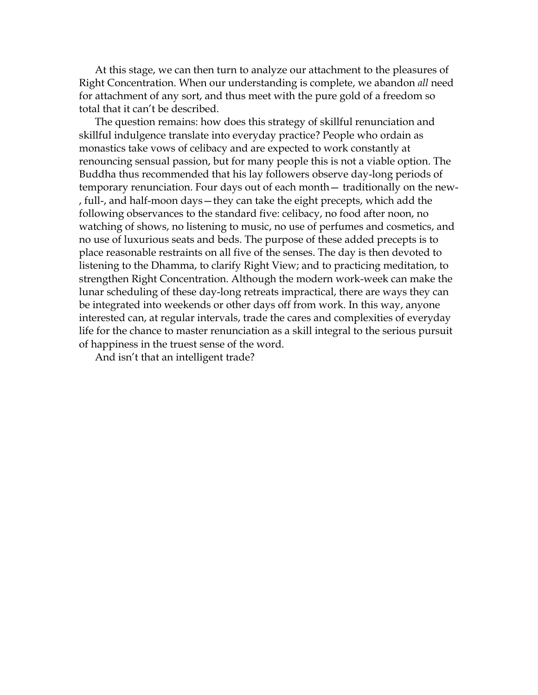At this stage, we can then turn to analyze our attachment to the pleasures of Right Concentration. When our understanding is complete, we abandon *all* need for attachment of any sort, and thus meet with the pure gold of a freedom so total that it can't be described.

The question remains: how does this strategy of skillful renunciation and skillful indulgence translate into everyday practice? People who ordain as monastics take vows of celibacy and are expected to work constantly at renouncing sensual passion, but for many people this is not a viable option. The Buddha thus recommended that his lay followers observe day-long periods of temporary renunciation. Four days out of each month— traditionally on the new- , full-, and half-moon days—they can take the eight precepts, which add the following observances to the standard five: celibacy, no food after noon, no watching of shows, no listening to music, no use of perfumes and cosmetics, and no use of luxurious seats and beds. The purpose of these added precepts is to place reasonable restraints on all five of the senses. The day is then devoted to listening to the Dhamma, to clarify Right View; and to practicing meditation, to strengthen Right Concentration. Although the modern work-week can make the lunar scheduling of these day-long retreats impractical, there are ways they can be integrated into weekends or other days off from work. In this way, anyone interested can, at regular intervals, trade the cares and complexities of everyday life for the chance to master renunciation as a skill integral to the serious pursuit of happiness in the truest sense of the word.

And isn't that an intelligent trade?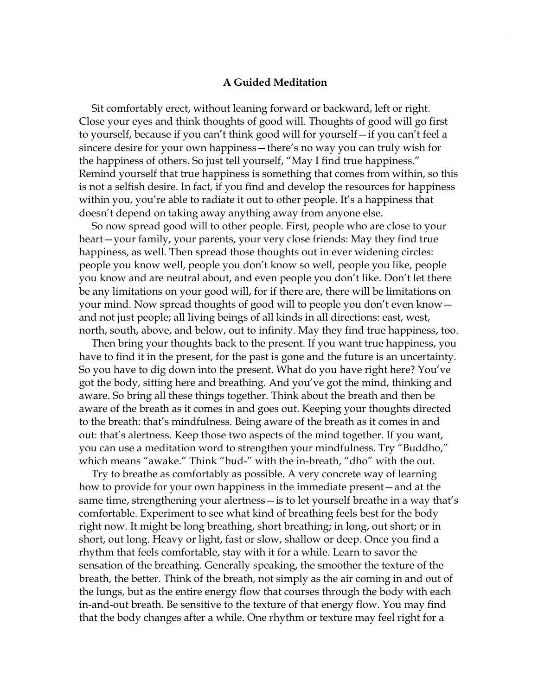## **A Guided Meditation**

Sit comfortably erect, without leaning forward or backward, left or right. Close your eyes and think thoughts of good will. Thoughts of good will go first to yourself, because if you can't think good will for yourself—if you can't feel a sincere desire for your own happiness—there's no way you can truly wish for the happiness of others. So just tell yourself, "May I find true happiness." Remind yourself that true happiness is something that comes from within, so this is not a selfish desire. In fact, if you find and develop the resources for happiness within you, you're able to radiate it out to other people. It's a happiness that doesn't depend on taking away anything away from anyone else.

So now spread good will to other people. First, people who are close to your heart—your family, your parents, your very close friends: May they find true happiness, as well. Then spread those thoughts out in ever widening circles: people you know well, people you don't know so well, people you like, people you know and are neutral about, and even people you don't like. Don't let there be any limitations on your good will, for if there are, there will be limitations on your mind. Now spread thoughts of good will to people you don't even know and not just people; all living beings of all kinds in all directions: east, west, north, south, above, and below, out to infinity. May they find true happiness, too.

Then bring your thoughts back to the present. If you want true happiness, you have to find it in the present, for the past is gone and the future is an uncertainty. So you have to dig down into the present. What do you have right here? You've got the body, sitting here and breathing. And you've got the mind, thinking and aware. So bring all these things together. Think about the breath and then be aware of the breath as it comes in and goes out. Keeping your thoughts directed to the breath: that's mindfulness. Being aware of the breath as it comes in and out: that's alertness. Keep those two aspects of the mind together. If you want, you can use a meditation word to strengthen your mindfulness. Try "Buddho," which means "awake." Think "bud-" with the in-breath, "dho" with the out.

Try to breathe as comfortably as possible. A very concrete way of learning how to provide for your own happiness in the immediate present—and at the same time, strengthening your alertness—is to let yourself breathe in a way that's comfortable. Experiment to see what kind of breathing feels best for the body right now. It might be long breathing, short breathing; in long, out short; or in short, out long. Heavy or light, fast or slow, shallow or deep. Once you find a rhythm that feels comfortable, stay with it for a while. Learn to savor the sensation of the breathing. Generally speaking, the smoother the texture of the breath, the better. Think of the breath, not simply as the air coming in and out of the lungs, but as the entire energy flow that courses through the body with each in-and-out breath. Be sensitive to the texture of that energy flow. You may find that the body changes after a while. One rhythm or texture may feel right for a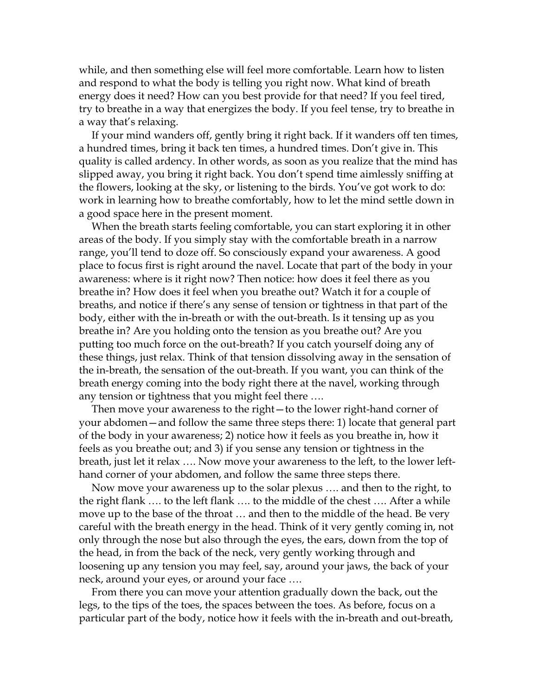while, and then something else will feel more comfortable. Learn how to listen and respond to what the body is telling you right now. What kind of breath energy does it need? How can you best provide for that need? If you feel tired, try to breathe in a way that energizes the body. If you feel tense, try to breathe in a way that's relaxing.

If your mind wanders off, gently bring it right back. If it wanders off ten times, a hundred times, bring it back ten times, a hundred times. Don't give in. This quality is called ardency. In other words, as soon as you realize that the mind has slipped away, you bring it right back. You don't spend time aimlessly sniffing at the flowers, looking at the sky, or listening to the birds. You've got work to do: work in learning how to breathe comfortably, how to let the mind settle down in a good space here in the present moment.

When the breath starts feeling comfortable, you can start exploring it in other areas of the body. If you simply stay with the comfortable breath in a narrow range, you'll tend to doze off. So consciously expand your awareness. A good place to focus first is right around the navel. Locate that part of the body in your awareness: where is it right now? Then notice: how does it feel there as you breathe in? How does it feel when you breathe out? Watch it for a couple of breaths, and notice if there's any sense of tension or tightness in that part of the body, either with the in-breath or with the out-breath. Is it tensing up as you breathe in? Are you holding onto the tension as you breathe out? Are you putting too much force on the out-breath? If you catch yourself doing any of these things, just relax. Think of that tension dissolving away in the sensation of the in-breath, the sensation of the out-breath. If you want, you can think of the breath energy coming into the body right there at the navel, working through any tension or tightness that you might feel there ….

Then move your awareness to the right—to the lower right-hand corner of your abdomen—and follow the same three steps there: 1) locate that general part of the body in your awareness; 2) notice how it feels as you breathe in, how it feels as you breathe out; and 3) if you sense any tension or tightness in the breath, just let it relax …. Now move your awareness to the left, to the lower lefthand corner of your abdomen, and follow the same three steps there.

Now move your awareness up to the solar plexus …. and then to the right, to the right flank …. to the left flank …. to the middle of the chest …. After a while move up to the base of the throat … and then to the middle of the head. Be very careful with the breath energy in the head. Think of it very gently coming in, not only through the nose but also through the eyes, the ears, down from the top of the head, in from the back of the neck, very gently working through and loosening up any tension you may feel, say, around your jaws, the back of your neck, around your eyes, or around your face ….

From there you can move your attention gradually down the back, out the legs, to the tips of the toes, the spaces between the toes. As before, focus on a particular part of the body, notice how it feels with the in-breath and out-breath,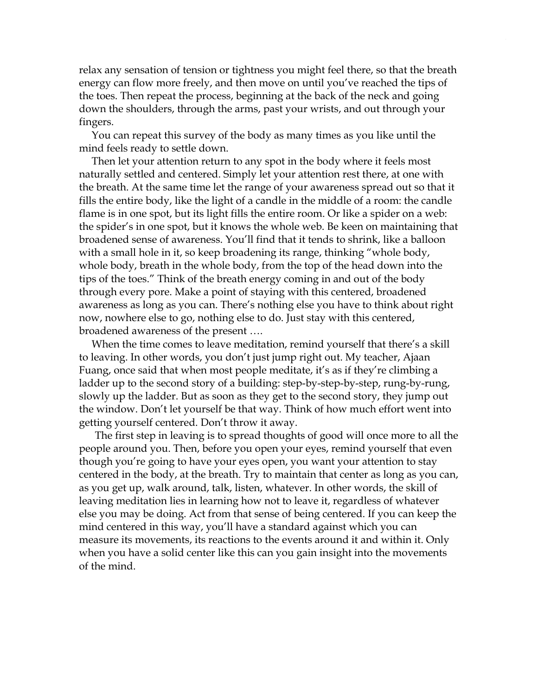relax any sensation of tension or tightness you might feel there, so that the breath energy can flow more freely, and then move on until you've reached the tips of the toes. Then repeat the process, beginning at the back of the neck and going down the shoulders, through the arms, past your wrists, and out through your fingers.

You can repeat this survey of the body as many times as you like until the mind feels ready to settle down.

Then let your attention return to any spot in the body where it feels most naturally settled and centered. Simply let your attention rest there, at one with the breath. At the same time let the range of your awareness spread out so that it fills the entire body, like the light of a candle in the middle of a room: the candle flame is in one spot, but its light fills the entire room. Or like a spider on a web: the spider's in one spot, but it knows the whole web. Be keen on maintaining that broadened sense of awareness. You'll find that it tends to shrink, like a balloon with a small hole in it, so keep broadening its range, thinking "whole body, whole body, breath in the whole body, from the top of the head down into the tips of the toes." Think of the breath energy coming in and out of the body through every pore. Make a point of staying with this centered, broadened awareness as long as you can. There's nothing else you have to think about right now, nowhere else to go, nothing else to do. Just stay with this centered, broadened awareness of the present ….

When the time comes to leave meditation, remind yourself that there's a skill to leaving. In other words, you don't just jump right out. My teacher, Ajaan Fuang, once said that when most people meditate, it's as if they're climbing a ladder up to the second story of a building: step-by-step-by-step, rung-by-rung, slowly up the ladder. But as soon as they get to the second story, they jump out the window. Don't let yourself be that way. Think of how much effort went into getting yourself centered. Don't throw it away.

The first step in leaving is to spread thoughts of good will once more to all the people around you. Then, before you open your eyes, remind yourself that even though you're going to have your eyes open, you want your attention to stay centered in the body, at the breath. Try to maintain that center as long as you can, as you get up, walk around, talk, listen, whatever. In other words, the skill of leaving meditation lies in learning how not to leave it, regardless of whatever else you may be doing. Act from that sense of being centered. If you can keep the mind centered in this way, you'll have a standard against which you can measure its movements, its reactions to the events around it and within it. Only when you have a solid center like this can you gain insight into the movements of the mind.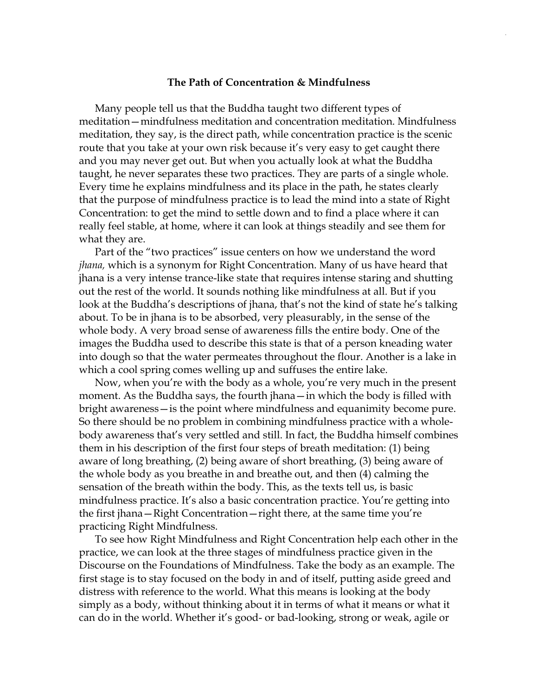#### **The Path of Concentration & Mindfulness**

Many people tell us that the Buddha taught two different types of meditation—mindfulness meditation and concentration meditation. Mindfulness meditation, they say, is the direct path, while concentration practice is the scenic route that you take at your own risk because it's very easy to get caught there and you may never get out. But when you actually look at what the Buddha taught, he never separates these two practices. They are parts of a single whole. Every time he explains mindfulness and its place in the path, he states clearly that the purpose of mindfulness practice is to lead the mind into a state of Right Concentration: to get the mind to settle down and to find a place where it can really feel stable, at home, where it can look at things steadily and see them for what they are.

Part of the "two practices" issue centers on how we understand the word *jhana,* which is a synonym for Right Concentration. Many of us have heard that jhana is a very intense trance-like state that requires intense staring and shutting out the rest of the world. It sounds nothing like mindfulness at all. But if you look at the Buddha's descriptions of jhana, that's not the kind of state he's talking about. To be in jhana is to be absorbed, very pleasurably, in the sense of the whole body. A very broad sense of awareness fills the entire body. One of the images the Buddha used to describe this state is that of a person kneading water into dough so that the water permeates throughout the flour. Another is a lake in which a cool spring comes welling up and suffuses the entire lake.

Now, when you're with the body as a whole, you're very much in the present moment. As the Buddha says, the fourth jhana—in which the body is filled with bright awareness—is the point where mindfulness and equanimity become pure. So there should be no problem in combining mindfulness practice with a wholebody awareness that's very settled and still. In fact, the Buddha himself combines them in his description of the first four steps of breath meditation: (1) being aware of long breathing, (2) being aware of short breathing, (3) being aware of the whole body as you breathe in and breathe out, and then (4) calming the sensation of the breath within the body. This, as the texts tell us, is basic mindfulness practice. It's also a basic concentration practice. You're getting into the first jhana—Right Concentration—right there, at the same time you're practicing Right Mindfulness.

To see how Right Mindfulness and Right Concentration help each other in the practice, we can look at the three stages of mindfulness practice given in the Discourse on the Foundations of Mindfulness. Take the body as an example. The first stage is to stay focused on the body in and of itself, putting aside greed and distress with reference to the world. What this means is looking at the body simply as a body, without thinking about it in terms of what it means or what it can do in the world. Whether it's good- or bad-looking, strong or weak, agile or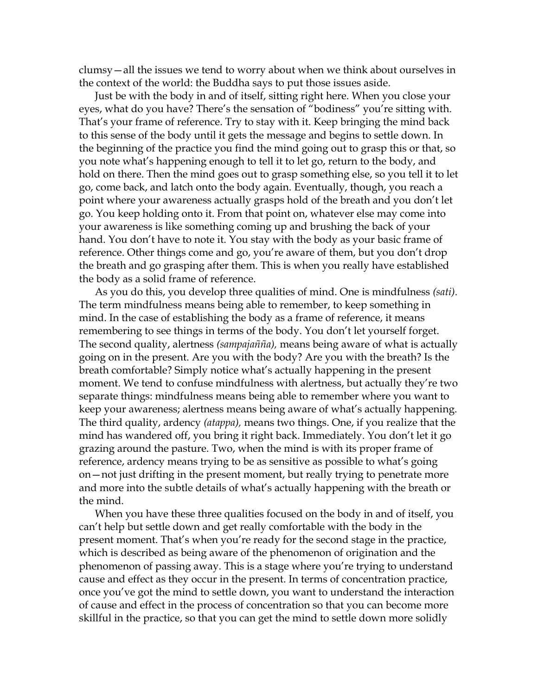clumsy—all the issues we tend to worry about when we think about ourselves in the context of the world: the Buddha says to put those issues aside.

Just be with the body in and of itself, sitting right here. When you close your eyes, what do you have? There's the sensation of "bodiness" you're sitting with. That's your frame of reference. Try to stay with it. Keep bringing the mind back to this sense of the body until it gets the message and begins to settle down. In the beginning of the practice you find the mind going out to grasp this or that, so you note what's happening enough to tell it to let go, return to the body, and hold on there. Then the mind goes out to grasp something else, so you tell it to let go, come back, and latch onto the body again. Eventually, though, you reach a point where your awareness actually grasps hold of the breath and you don't let go. You keep holding onto it. From that point on, whatever else may come into your awareness is like something coming up and brushing the back of your hand. You don't have to note it. You stay with the body as your basic frame of reference. Other things come and go, you're aware of them, but you don't drop the breath and go grasping after them. This is when you really have established the body as a solid frame of reference.

As you do this, you develop three qualities of mind. One is mindfulness *(sati).* The term mindfulness means being able to remember, to keep something in mind. In the case of establishing the body as a frame of reference, it means remembering to see things in terms of the body. You don't let yourself forget. The second quality, alertness *(sampajañña),* means being aware of what is actually going on in the present. Are you with the body? Are you with the breath? Is the breath comfortable? Simply notice what's actually happening in the present moment. We tend to confuse mindfulness with alertness, but actually they're two separate things: mindfulness means being able to remember where you want to keep your awareness; alertness means being aware of what's actually happening. The third quality, ardency *(atappa),* means two things. One, if you realize that the mind has wandered off, you bring it right back. Immediately. You don't let it go grazing around the pasture. Two, when the mind is with its proper frame of reference, ardency means trying to be as sensitive as possible to what's going on—not just drifting in the present moment, but really trying to penetrate more and more into the subtle details of what's actually happening with the breath or the mind.

When you have these three qualities focused on the body in and of itself, you can't help but settle down and get really comfortable with the body in the present moment. That's when you're ready for the second stage in the practice, which is described as being aware of the phenomenon of origination and the phenomenon of passing away. This is a stage where you're trying to understand cause and effect as they occur in the present. In terms of concentration practice, once you've got the mind to settle down, you want to understand the interaction of cause and effect in the process of concentration so that you can become more skillful in the practice, so that you can get the mind to settle down more solidly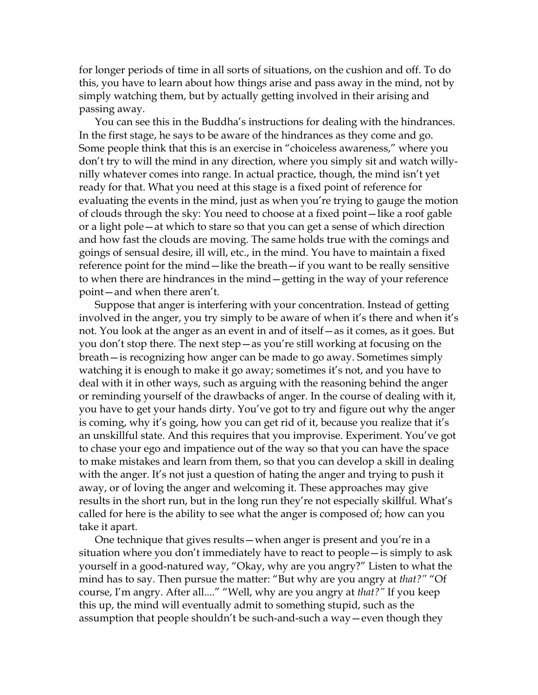for longer periods of time in all sorts of situations, on the cushion and off. To do this, you have to learn about how things arise and pass away in the mind, not by simply watching them, but by actually getting involved in their arising and passing away.

You can see this in the Buddha's instructions for dealing with the hindrances. In the first stage, he says to be aware of the hindrances as they come and go. Some people think that this is an exercise in "choiceless awareness," where you don't try to will the mind in any direction, where you simply sit and watch willynilly whatever comes into range. In actual practice, though, the mind isn't yet ready for that. What you need at this stage is a fixed point of reference for evaluating the events in the mind, just as when you're trying to gauge the motion of clouds through the sky: You need to choose at a fixed point—like a roof gable or a light pole—at which to stare so that you can get a sense of which direction and how fast the clouds are moving. The same holds true with the comings and goings of sensual desire, ill will, etc., in the mind. You have to maintain a fixed reference point for the mind—like the breath—if you want to be really sensitive to when there are hindrances in the mind—getting in the way of your reference point—and when there aren't.

Suppose that anger is interfering with your concentration. Instead of getting involved in the anger, you try simply to be aware of when it's there and when it's not. You look at the anger as an event in and of itself—as it comes, as it goes. But you don't stop there. The next step—as you're still working at focusing on the breath—is recognizing how anger can be made to go away. Sometimes simply watching it is enough to make it go away; sometimes it's not, and you have to deal with it in other ways, such as arguing with the reasoning behind the anger or reminding yourself of the drawbacks of anger. In the course of dealing with it, you have to get your hands dirty. You've got to try and figure out why the anger is coming, why it's going, how you can get rid of it, because you realize that it's an unskillful state. And this requires that you improvise. Experiment. You've got to chase your ego and impatience out of the way so that you can have the space to make mistakes and learn from them, so that you can develop a skill in dealing with the anger. It's not just a question of hating the anger and trying to push it away, or of loving the anger and welcoming it. These approaches may give results in the short run, but in the long run they're not especially skillful. What's called for here is the ability to see what the anger is composed of; how can you take it apart.

One technique that gives results—when anger is present and you're in a situation where you don't immediately have to react to people—is simply to ask yourself in a good-natured way, "Okay, why are you angry?" Listen to what the mind has to say. Then pursue the matter: "But why are you angry at *that?"* "Of course, I'm angry. After all...." "Well, why are you angry at *that?"* If you keep this up, the mind will eventually admit to something stupid, such as the assumption that people shouldn't be such-and-such a way—even though they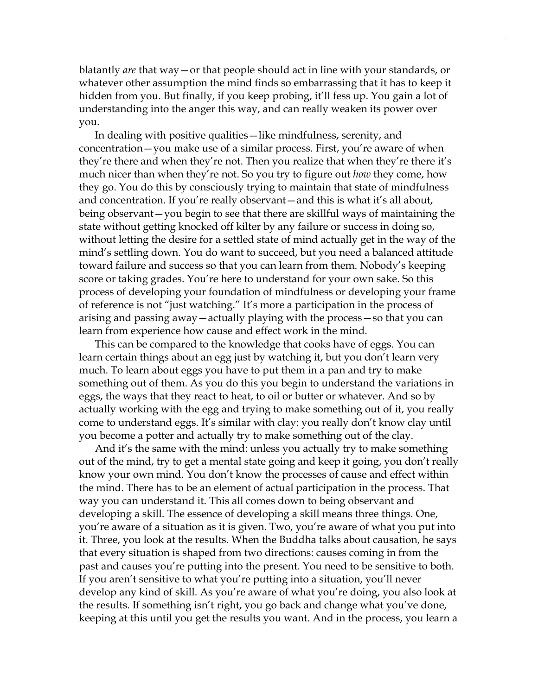blatantly *are* that way—or that people should act in line with your standards, or whatever other assumption the mind finds so embarrassing that it has to keep it hidden from you. But finally, if you keep probing, it'll fess up. You gain a lot of understanding into the anger this way, and can really weaken its power over you.

In dealing with positive qualities—like mindfulness, serenity, and concentration—you make use of a similar process. First, you're aware of when they're there and when they're not. Then you realize that when they're there it's much nicer than when they're not. So you try to figure out *how* they come, how they go. You do this by consciously trying to maintain that state of mindfulness and concentration. If you're really observant—and this is what it's all about, being observant—you begin to see that there are skillful ways of maintaining the state without getting knocked off kilter by any failure or success in doing so, without letting the desire for a settled state of mind actually get in the way of the mind's settling down. You do want to succeed, but you need a balanced attitude toward failure and success so that you can learn from them. Nobody's keeping score or taking grades. You're here to understand for your own sake. So this process of developing your foundation of mindfulness or developing your frame of reference is not "just watching." It's more a participation in the process of arising and passing away—actually playing with the process—so that you can learn from experience how cause and effect work in the mind.

This can be compared to the knowledge that cooks have of eggs. You can learn certain things about an egg just by watching it, but you don't learn very much. To learn about eggs you have to put them in a pan and try to make something out of them. As you do this you begin to understand the variations in eggs, the ways that they react to heat, to oil or butter or whatever. And so by actually working with the egg and trying to make something out of it, you really come to understand eggs. It's similar with clay: you really don't know clay until you become a potter and actually try to make something out of the clay.

And it's the same with the mind: unless you actually try to make something out of the mind, try to get a mental state going and keep it going, you don't really know your own mind. You don't know the processes of cause and effect within the mind. There has to be an element of actual participation in the process. That way you can understand it. This all comes down to being observant and developing a skill. The essence of developing a skill means three things. One, you're aware of a situation as it is given. Two, you're aware of what you put into it. Three, you look at the results. When the Buddha talks about causation, he says that every situation is shaped from two directions: causes coming in from the past and causes you're putting into the present. You need to be sensitive to both. If you aren't sensitive to what you're putting into a situation, you'll never develop any kind of skill. As you're aware of what you're doing, you also look at the results. If something isn't right, you go back and change what you've done, keeping at this until you get the results you want. And in the process, you learn a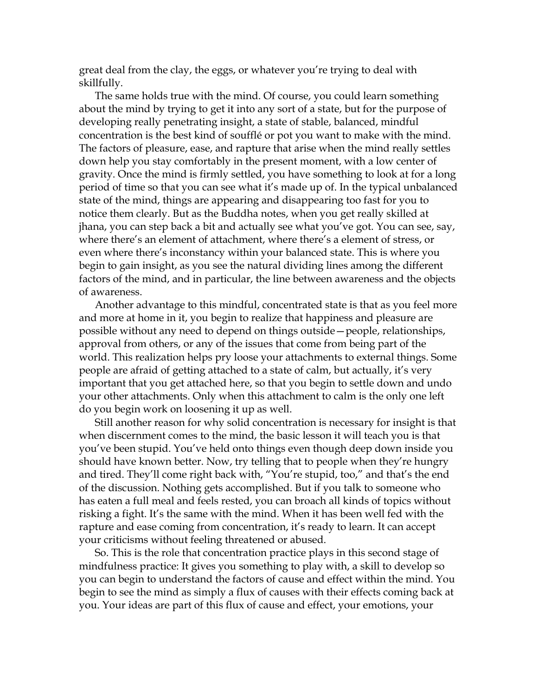great deal from the clay, the eggs, or whatever you're trying to deal with skillfully.

The same holds true with the mind. Of course, you could learn something about the mind by trying to get it into any sort of a state, but for the purpose of developing really penetrating insight, a state of stable, balanced, mindful concentration is the best kind of soufflé or pot you want to make with the mind. The factors of pleasure, ease, and rapture that arise when the mind really settles down help you stay comfortably in the present moment, with a low center of gravity. Once the mind is firmly settled, you have something to look at for a long period of time so that you can see what it's made up of. In the typical unbalanced state of the mind, things are appearing and disappearing too fast for you to notice them clearly. But as the Buddha notes, when you get really skilled at jhana, you can step back a bit and actually see what you've got. You can see, say, where there's an element of attachment, where there's a element of stress, or even where there's inconstancy within your balanced state. This is where you begin to gain insight, as you see the natural dividing lines among the different factors of the mind, and in particular, the line between awareness and the objects of awareness.

Another advantage to this mindful, concentrated state is that as you feel more and more at home in it, you begin to realize that happiness and pleasure are possible without any need to depend on things outside—people, relationships, approval from others, or any of the issues that come from being part of the world. This realization helps pry loose your attachments to external things. Some people are afraid of getting attached to a state of calm, but actually, it's very important that you get attached here, so that you begin to settle down and undo your other attachments. Only when this attachment to calm is the only one left do you begin work on loosening it up as well.

Still another reason for why solid concentration is necessary for insight is that when discernment comes to the mind, the basic lesson it will teach you is that you've been stupid. You've held onto things even though deep down inside you should have known better. Now, try telling that to people when they're hungry and tired. They'll come right back with, "You're stupid, too," and that's the end of the discussion. Nothing gets accomplished. But if you talk to someone who has eaten a full meal and feels rested, you can broach all kinds of topics without risking a fight. It's the same with the mind. When it has been well fed with the rapture and ease coming from concentration, it's ready to learn. It can accept your criticisms without feeling threatened or abused.

So. This is the role that concentration practice plays in this second stage of mindfulness practice: It gives you something to play with, a skill to develop so you can begin to understand the factors of cause and effect within the mind. You begin to see the mind as simply a flux of causes with their effects coming back at you. Your ideas are part of this flux of cause and effect, your emotions, your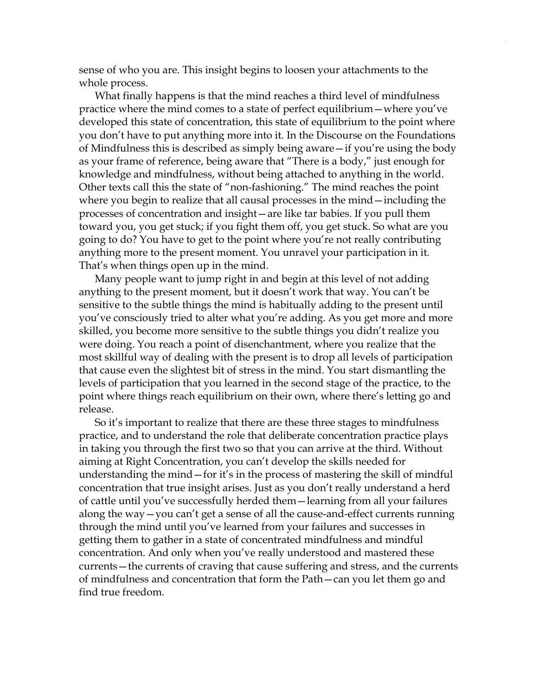sense of who you are. This insight begins to loosen your attachments to the whole process.

What finally happens is that the mind reaches a third level of mindfulness practice where the mind comes to a state of perfect equilibrium—where you've developed this state of concentration, this state of equilibrium to the point where you don't have to put anything more into it. In the Discourse on the Foundations of Mindfulness this is described as simply being aware—if you're using the body as your frame of reference, being aware that "There is a body," just enough for knowledge and mindfulness, without being attached to anything in the world. Other texts call this the state of "non-fashioning." The mind reaches the point where you begin to realize that all causal processes in the mind—including the processes of concentration and insight—are like tar babies. If you pull them toward you, you get stuck; if you fight them off, you get stuck. So what are you going to do? You have to get to the point where you're not really contributing anything more to the present moment. You unravel your participation in it. That's when things open up in the mind.

Many people want to jump right in and begin at this level of not adding anything to the present moment, but it doesn't work that way. You can't be sensitive to the subtle things the mind is habitually adding to the present until you've consciously tried to alter what you're adding. As you get more and more skilled, you become more sensitive to the subtle things you didn't realize you were doing. You reach a point of disenchantment, where you realize that the most skillful way of dealing with the present is to drop all levels of participation that cause even the slightest bit of stress in the mind. You start dismantling the levels of participation that you learned in the second stage of the practice, to the point where things reach equilibrium on their own, where there's letting go and release.

So it's important to realize that there are these three stages to mindfulness practice, and to understand the role that deliberate concentration practice plays in taking you through the first two so that you can arrive at the third. Without aiming at Right Concentration, you can't develop the skills needed for understanding the mind—for it's in the process of mastering the skill of mindful concentration that true insight arises. Just as you don't really understand a herd of cattle until you've successfully herded them—learning from all your failures along the way—you can't get a sense of all the cause-and-effect currents running through the mind until you've learned from your failures and successes in getting them to gather in a state of concentrated mindfulness and mindful concentration. And only when you've really understood and mastered these currents—the currents of craving that cause suffering and stress, and the currents of mindfulness and concentration that form the Path—can you let them go and find true freedom.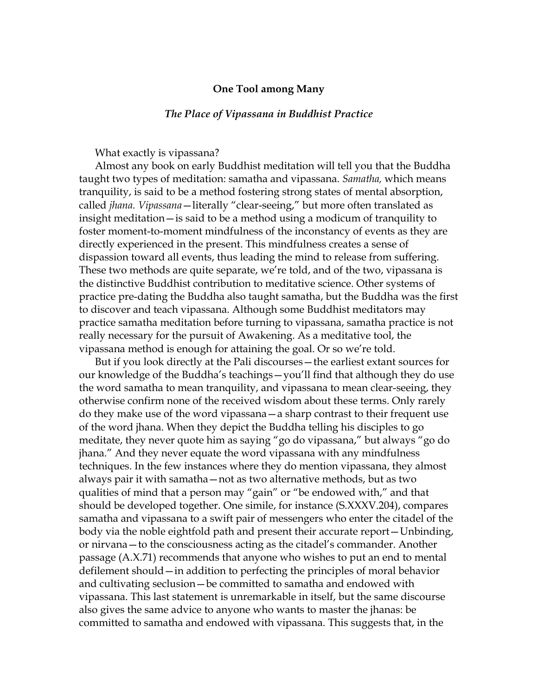## **One Tool among Many**

#### *The Place of Vipassana in Buddhist Practice*

What exactly is vipassana?

Almost any book on early Buddhist meditation will tell you that the Buddha taught two types of meditation: samatha and vipassana. *Samatha,* which means tranquility, is said to be a method fostering strong states of mental absorption, called *jhana. Vipassana*—literally "clear-seeing," but more often translated as insight meditation—is said to be a method using a modicum of tranquility to foster moment-to-moment mindfulness of the inconstancy of events as they are directly experienced in the present. This mindfulness creates a sense of dispassion toward all events, thus leading the mind to release from suffering. These two methods are quite separate, we're told, and of the two, vipassana is the distinctive Buddhist contribution to meditative science. Other systems of practice pre-dating the Buddha also taught samatha, but the Buddha was the first to discover and teach vipassana. Although some Buddhist meditators may practice samatha meditation before turning to vipassana, samatha practice is not really necessary for the pursuit of Awakening. As a meditative tool, the vipassana method is enough for attaining the goal. Or so we're told.

But if you look directly at the Pali discourses—the earliest extant sources for our knowledge of the Buddha's teachings—you'll find that although they do use the word samatha to mean tranquility, and vipassana to mean clear-seeing, they otherwise confirm none of the received wisdom about these terms. Only rarely do they make use of the word vipassana—a sharp contrast to their frequent use of the word jhana. When they depict the Buddha telling his disciples to go meditate, they never quote him as saying "go do vipassana," but always "go do jhana." And they never equate the word vipassana with any mindfulness techniques. In the few instances where they do mention vipassana, they almost always pair it with samatha—not as two alternative methods, but as two qualities of mind that a person may "gain" or "be endowed with," and that should be developed together. One simile, for instance (S.XXXV.204), compares samatha and vipassana to a swift pair of messengers who enter the citadel of the body via the noble eightfold path and present their accurate report—Unbinding, or nirvana—to the consciousness acting as the citadel's commander. Another passage (A.X.71) recommends that anyone who wishes to put an end to mental defilement should—in addition to perfecting the principles of moral behavior and cultivating seclusion—be committed to samatha and endowed with vipassana. This last statement is unremarkable in itself, but the same discourse also gives the same advice to anyone who wants to master the jhanas: be committed to samatha and endowed with vipassana. This suggests that, in the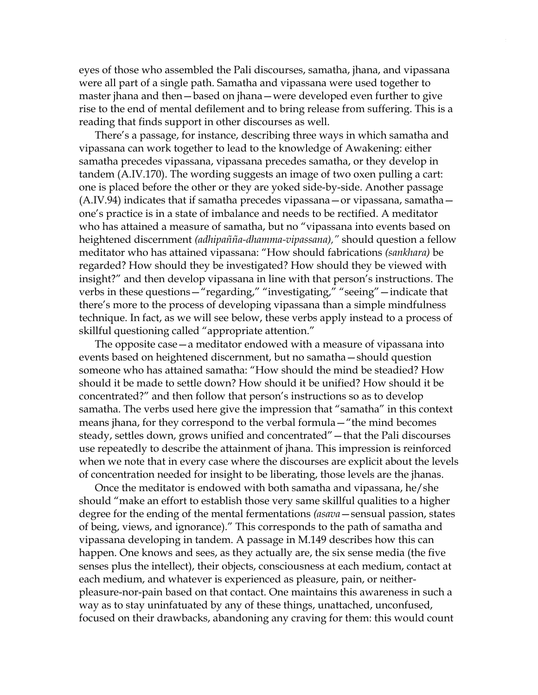eyes of those who assembled the Pali discourses, samatha, jhana, and vipassana were all part of a single path. Samatha and vipassana were used together to master jhana and then—based on jhana—were developed even further to give rise to the end of mental defilement and to bring release from suffering. This is a reading that finds support in other discourses as well.

There's a passage, for instance, describing three ways in which samatha and vipassana can work together to lead to the knowledge of Awakening: either samatha precedes vipassana, vipassana precedes samatha, or they develop in tandem (A.IV.170). The wording suggests an image of two oxen pulling a cart: one is placed before the other or they are yoked side-by-side. Another passage (A.IV.94) indicates that if samatha precedes vipassana—or vipassana, samatha one's practice is in a state of imbalance and needs to be rectified. A meditator who has attained a measure of samatha, but no "vipassana into events based on heightened discernment *(adhipañña-dhamma-vipassana),"* should question a fellow meditator who has attained vipassana: "How should fabrications *(sankhara)* be regarded? How should they be investigated? How should they be viewed with insight?" and then develop vipassana in line with that person's instructions. The verbs in these questions—"regarding," "investigating," "seeing"—indicate that there's more to the process of developing vipassana than a simple mindfulness technique. In fact, as we will see below, these verbs apply instead to a process of skillful questioning called "appropriate attention."

The opposite case—a meditator endowed with a measure of vipassana into events based on heightened discernment, but no samatha—should question someone who has attained samatha: "How should the mind be steadied? How should it be made to settle down? How should it be unified? How should it be concentrated?" and then follow that person's instructions so as to develop samatha. The verbs used here give the impression that "samatha" in this context means jhana, for they correspond to the verbal formula—"the mind becomes steady, settles down, grows unified and concentrated"—that the Pali discourses use repeatedly to describe the attainment of jhana. This impression is reinforced when we note that in every case where the discourses are explicit about the levels of concentration needed for insight to be liberating, those levels are the jhanas.

Once the meditator is endowed with both samatha and vipassana, he/she should "make an effort to establish those very same skillful qualities to a higher degree for the ending of the mental fermentations *(asava*—sensual passion, states of being, views, and ignorance)." This corresponds to the path of samatha and vipassana developing in tandem. A passage in M.149 describes how this can happen. One knows and sees, as they actually are, the six sense media (the five senses plus the intellect), their objects, consciousness at each medium, contact at each medium, and whatever is experienced as pleasure, pain, or neitherpleasure-nor-pain based on that contact. One maintains this awareness in such a way as to stay uninfatuated by any of these things, unattached, unconfused, focused on their drawbacks, abandoning any craving for them: this would count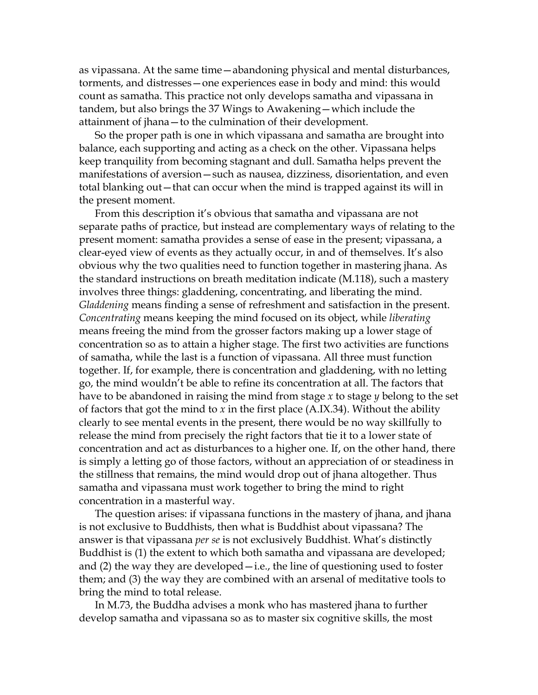as vipassana. At the same time—abandoning physical and mental disturbances, torments, and distresses—one experiences ease in body and mind: this would count as samatha. This practice not only develops samatha and vipassana in tandem, but also brings the 37 Wings to Awakening—which include the attainment of jhana—to the culmination of their development.

So the proper path is one in which vipassana and samatha are brought into balance, each supporting and acting as a check on the other. Vipassana helps keep tranquility from becoming stagnant and dull. Samatha helps prevent the manifestations of aversion—such as nausea, dizziness, disorientation, and even total blanking out—that can occur when the mind is trapped against its will in the present moment.

From this description it's obvious that samatha and vipassana are not separate paths of practice, but instead are complementary ways of relating to the present moment: samatha provides a sense of ease in the present; vipassana, a clear-eyed view of events as they actually occur, in and of themselves. It's also obvious why the two qualities need to function together in mastering jhana. As the standard instructions on breath meditation indicate (M.118), such a mastery involves three things: gladdening, concentrating, and liberating the mind. *Gladdening* means finding a sense of refreshment and satisfaction in the present. *Concentrating* means keeping the mind focused on its object, while *liberating* means freeing the mind from the grosser factors making up a lower stage of concentration so as to attain a higher stage. The first two activities are functions of samatha, while the last is a function of vipassana. All three must function together. If, for example, there is concentration and gladdening, with no letting go, the mind wouldn't be able to refine its concentration at all. The factors that have to be abandoned in raising the mind from stage *x* to stage *y* belong to the set of factors that got the mind to *x* in the first place (A.IX.34). Without the ability clearly to see mental events in the present, there would be no way skillfully to release the mind from precisely the right factors that tie it to a lower state of concentration and act as disturbances to a higher one. If, on the other hand, there is simply a letting go of those factors, without an appreciation of or steadiness in the stillness that remains, the mind would drop out of jhana altogether. Thus samatha and vipassana must work together to bring the mind to right concentration in a masterful way.

The question arises: if vipassana functions in the mastery of jhana, and jhana is not exclusive to Buddhists, then what is Buddhist about vipassana? The answer is that vipassana *per se* is not exclusively Buddhist. What's distinctly Buddhist is (1) the extent to which both samatha and vipassana are developed; and (2) the way they are developed—i.e., the line of questioning used to foster them; and (3) the way they are combined with an arsenal of meditative tools to bring the mind to total release.

In M.73, the Buddha advises a monk who has mastered jhana to further develop samatha and vipassana so as to master six cognitive skills, the most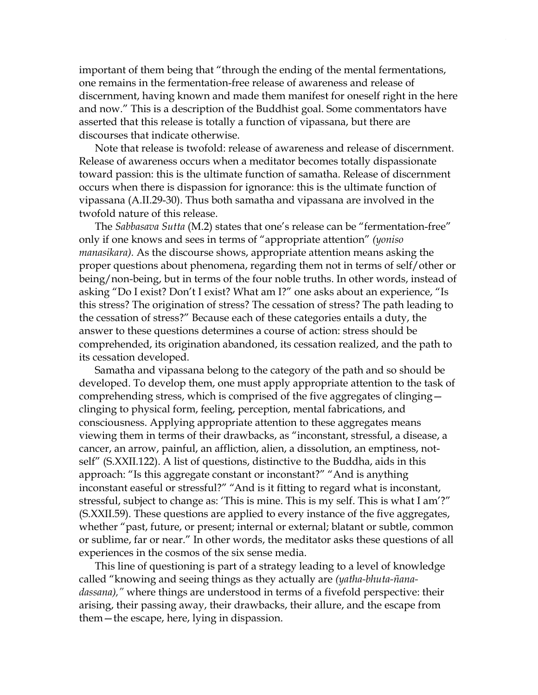important of them being that "through the ending of the mental fermentations, one remains in the fermentation-free release of awareness and release of discernment, having known and made them manifest for oneself right in the here and now." This is a description of the Buddhist goal. Some commentators have asserted that this release is totally a function of vipassana, but there are discourses that indicate otherwise.

Note that release is twofold: release of awareness and release of discernment. Release of awareness occurs when a meditator becomes totally dispassionate toward passion: this is the ultimate function of samatha. Release of discernment occurs when there is dispassion for ignorance: this is the ultimate function of vipassana (A.II.29-30). Thus both samatha and vipassana are involved in the twofold nature of this release.

The *Sabbasava Sutta* (M.2) states that one's release can be "fermentation-free" only if one knows and sees in terms of "appropriate attention" *(yoniso manasikara).* As the discourse shows, appropriate attention means asking the proper questions about phenomena, regarding them not in terms of self/other or being/non-being, but in terms of the four noble truths. In other words, instead of asking "Do I exist? Don't I exist? What am I?" one asks about an experience, "Is this stress? The origination of stress? The cessation of stress? The path leading to the cessation of stress?" Because each of these categories entails a duty, the answer to these questions determines a course of action: stress should be comprehended, its origination abandoned, its cessation realized, and the path to its cessation developed.

Samatha and vipassana belong to the category of the path and so should be developed. To develop them, one must apply appropriate attention to the task of comprehending stress, which is comprised of the five aggregates of clinging clinging to physical form, feeling, perception, mental fabrications, and consciousness. Applying appropriate attention to these aggregates means viewing them in terms of their drawbacks, as "inconstant, stressful, a disease, a cancer, an arrow, painful, an affliction, alien, a dissolution, an emptiness, notself" (S.XXII.122). A list of questions, distinctive to the Buddha, aids in this approach: "Is this aggregate constant or inconstant?" "And is anything inconstant easeful or stressful?" "And is it fitting to regard what is inconstant, stressful, subject to change as: 'This is mine. This is my self. This is what I am'?" (S.XXII.59). These questions are applied to every instance of the five aggregates, whether "past, future, or present; internal or external; blatant or subtle, common or sublime, far or near." In other words, the meditator asks these questions of all experiences in the cosmos of the six sense media.

This line of questioning is part of a strategy leading to a level of knowledge called "knowing and seeing things as they actually are *(yatha-bhuta-ñanadassana),"* where things are understood in terms of a fivefold perspective: their arising, their passing away, their drawbacks, their allure, and the escape from them—the escape, here, lying in dispassion.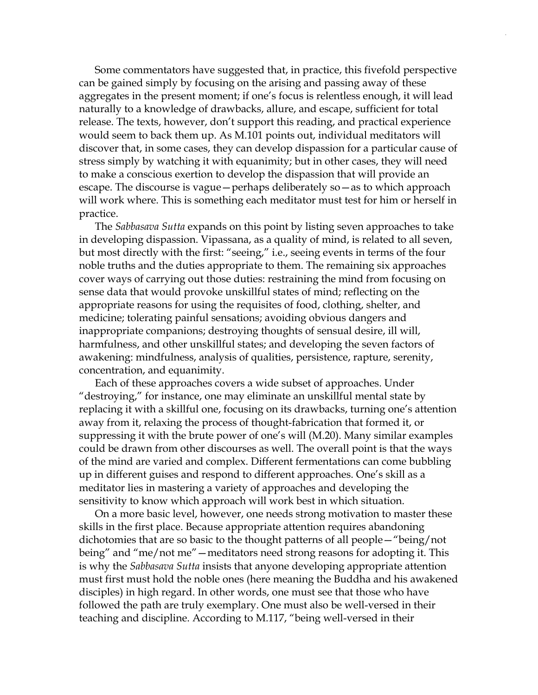Some commentators have suggested that, in practice, this fivefold perspective can be gained simply by focusing on the arising and passing away of these aggregates in the present moment; if one's focus is relentless enough, it will lead naturally to a knowledge of drawbacks, allure, and escape, sufficient for total release. The texts, however, don't support this reading, and practical experience would seem to back them up. As M.101 points out, individual meditators will discover that, in some cases, they can develop dispassion for a particular cause of stress simply by watching it with equanimity; but in other cases, they will need to make a conscious exertion to develop the dispassion that will provide an escape. The discourse is vague—perhaps deliberately so—as to which approach will work where. This is something each meditator must test for him or herself in practice.

The *Sabbasava Sutta* expands on this point by listing seven approaches to take in developing dispassion. Vipassana, as a quality of mind, is related to all seven, but most directly with the first: "seeing," i.e., seeing events in terms of the four noble truths and the duties appropriate to them. The remaining six approaches cover ways of carrying out those duties: restraining the mind from focusing on sense data that would provoke unskillful states of mind; reflecting on the appropriate reasons for using the requisites of food, clothing, shelter, and medicine; tolerating painful sensations; avoiding obvious dangers and inappropriate companions; destroying thoughts of sensual desire, ill will, harmfulness, and other unskillful states; and developing the seven factors of awakening: mindfulness, analysis of qualities, persistence, rapture, serenity, concentration, and equanimity.

Each of these approaches covers a wide subset of approaches. Under "destroying," for instance, one may eliminate an unskillful mental state by replacing it with a skillful one, focusing on its drawbacks, turning one's attention away from it, relaxing the process of thought-fabrication that formed it, or suppressing it with the brute power of one's will (M.20). Many similar examples could be drawn from other discourses as well. The overall point is that the ways of the mind are varied and complex. Different fermentations can come bubbling up in different guises and respond to different approaches. One's skill as a meditator lies in mastering a variety of approaches and developing the sensitivity to know which approach will work best in which situation.

On a more basic level, however, one needs strong motivation to master these skills in the first place. Because appropriate attention requires abandoning dichotomies that are so basic to the thought patterns of all people—"being/not being" and "me/not me"—meditators need strong reasons for adopting it. This is why the *Sabbasava Sutta* insists that anyone developing appropriate attention must first must hold the noble ones (here meaning the Buddha and his awakened disciples) in high regard. In other words, one must see that those who have followed the path are truly exemplary. One must also be well-versed in their teaching and discipline. According to M.117, "being well-versed in their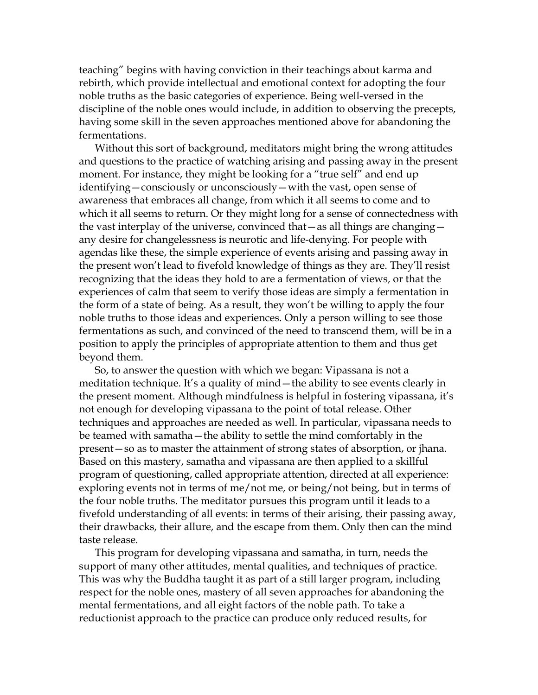teaching" begins with having conviction in their teachings about karma and rebirth, which provide intellectual and emotional context for adopting the four noble truths as the basic categories of experience. Being well-versed in the discipline of the noble ones would include, in addition to observing the precepts, having some skill in the seven approaches mentioned above for abandoning the fermentations.

Without this sort of background, meditators might bring the wrong attitudes and questions to the practice of watching arising and passing away in the present moment. For instance, they might be looking for a "true self" and end up identifying—consciously or unconsciously—with the vast, open sense of awareness that embraces all change, from which it all seems to come and to which it all seems to return. Or they might long for a sense of connectedness with the vast interplay of the universe, convinced that—as all things are changing any desire for changelessness is neurotic and life-denying. For people with agendas like these, the simple experience of events arising and passing away in the present won't lead to fivefold knowledge of things as they are. They'll resist recognizing that the ideas they hold to are a fermentation of views, or that the experiences of calm that seem to verify those ideas are simply a fermentation in the form of a state of being. As a result, they won't be willing to apply the four noble truths to those ideas and experiences. Only a person willing to see those fermentations as such, and convinced of the need to transcend them, will be in a position to apply the principles of appropriate attention to them and thus get beyond them.

So, to answer the question with which we began: Vipassana is not a meditation technique. It's a quality of mind—the ability to see events clearly in the present moment. Although mindfulness is helpful in fostering vipassana, it's not enough for developing vipassana to the point of total release. Other techniques and approaches are needed as well. In particular, vipassana needs to be teamed with samatha—the ability to settle the mind comfortably in the present—so as to master the attainment of strong states of absorption, or jhana. Based on this mastery, samatha and vipassana are then applied to a skillful program of questioning, called appropriate attention, directed at all experience: exploring events not in terms of me/not me, or being/not being, but in terms of the four noble truths. The meditator pursues this program until it leads to a fivefold understanding of all events: in terms of their arising, their passing away, their drawbacks, their allure, and the escape from them. Only then can the mind taste release.

This program for developing vipassana and samatha, in turn, needs the support of many other attitudes, mental qualities, and techniques of practice. This was why the Buddha taught it as part of a still larger program, including respect for the noble ones, mastery of all seven approaches for abandoning the mental fermentations, and all eight factors of the noble path. To take a reductionist approach to the practice can produce only reduced results, for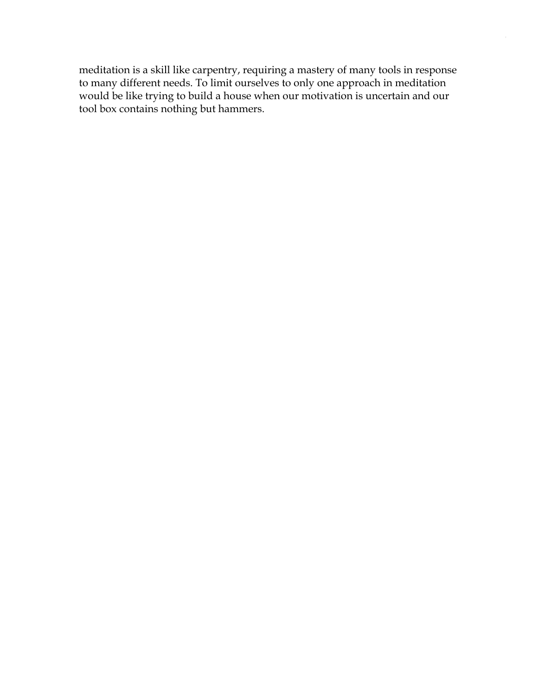meditation is a skill like carpentry, requiring a mastery of many tools in response to many different needs. To limit ourselves to only one approach in meditation would be like trying to build a house when our motivation is uncertain and our tool box contains nothing but hammers.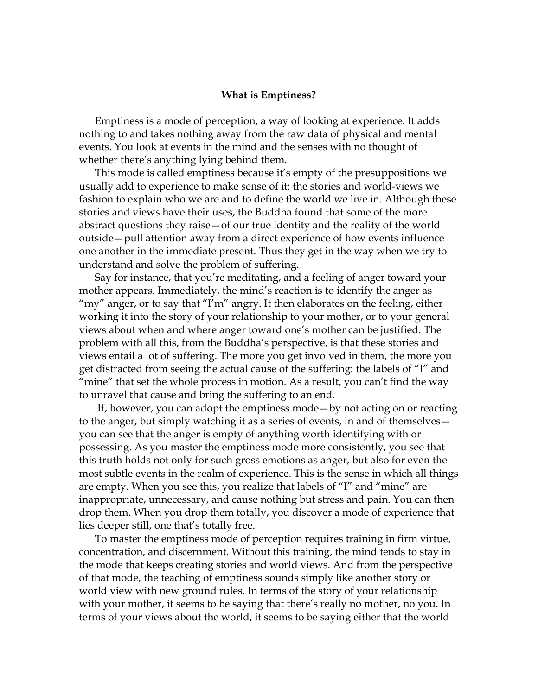#### **What is Emptiness?**

Emptiness is a mode of perception, a way of looking at experience. It adds nothing to and takes nothing away from the raw data of physical and mental events. You look at events in the mind and the senses with no thought of whether there's anything lying behind them.

This mode is called emptiness because it's empty of the presuppositions we usually add to experience to make sense of it: the stories and world-views we fashion to explain who we are and to define the world we live in. Although these stories and views have their uses, the Buddha found that some of the more abstract questions they raise—of our true identity and the reality of the world outside—pull attention away from a direct experience of how events influence one another in the immediate present. Thus they get in the way when we try to understand and solve the problem of suffering.

Say for instance, that you're meditating, and a feeling of anger toward your mother appears. Immediately, the mind's reaction is to identify the anger as "my" anger, or to say that "I'm" angry. It then elaborates on the feeling, either working it into the story of your relationship to your mother, or to your general views about when and where anger toward one's mother can be justified. The problem with all this, from the Buddha's perspective, is that these stories and views entail a lot of suffering. The more you get involved in them, the more you get distracted from seeing the actual cause of the suffering: the labels of "I" and "mine" that set the whole process in motion. As a result, you can't find the way to unravel that cause and bring the suffering to an end.

 If, however, you can adopt the emptiness mode—by not acting on or reacting to the anger, but simply watching it as a series of events, in and of themselves you can see that the anger is empty of anything worth identifying with or possessing. As you master the emptiness mode more consistently, you see that this truth holds not only for such gross emotions as anger, but also for even the most subtle events in the realm of experience. This is the sense in which all things are empty. When you see this, you realize that labels of "I" and "mine" are inappropriate, unnecessary, and cause nothing but stress and pain. You can then drop them. When you drop them totally, you discover a mode of experience that lies deeper still, one that's totally free.

To master the emptiness mode of perception requires training in firm virtue, concentration, and discernment. Without this training, the mind tends to stay in the mode that keeps creating stories and world views. And from the perspective of that mode, the teaching of emptiness sounds simply like another story or world view with new ground rules. In terms of the story of your relationship with your mother, it seems to be saying that there's really no mother, no you. In terms of your views about the world, it seems to be saying either that the world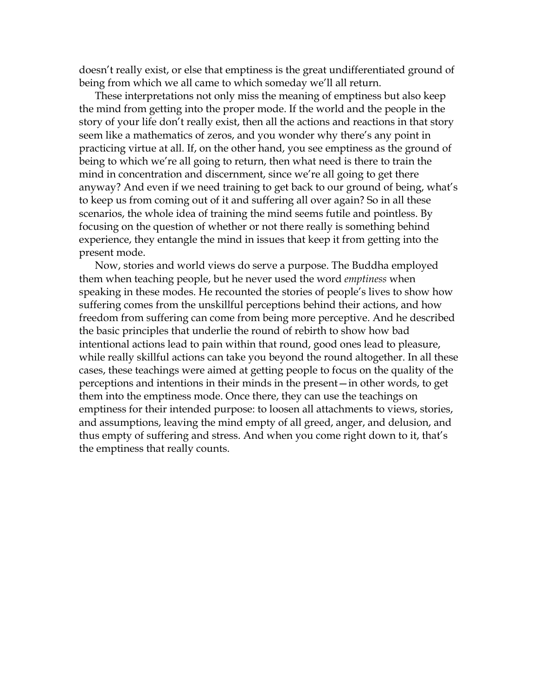doesn't really exist, or else that emptiness is the great undifferentiated ground of being from which we all came to which someday we'll all return.

These interpretations not only miss the meaning of emptiness but also keep the mind from getting into the proper mode. If the world and the people in the story of your life don't really exist, then all the actions and reactions in that story seem like a mathematics of zeros, and you wonder why there's any point in practicing virtue at all. If, on the other hand, you see emptiness as the ground of being to which we're all going to return, then what need is there to train the mind in concentration and discernment, since we're all going to get there anyway? And even if we need training to get back to our ground of being, what's to keep us from coming out of it and suffering all over again? So in all these scenarios, the whole idea of training the mind seems futile and pointless. By focusing on the question of whether or not there really is something behind experience, they entangle the mind in issues that keep it from getting into the present mode.

Now, stories and world views do serve a purpose. The Buddha employed them when teaching people, but he never used the word *emptiness* when speaking in these modes. He recounted the stories of people's lives to show how suffering comes from the unskillful perceptions behind their actions, and how freedom from suffering can come from being more perceptive. And he described the basic principles that underlie the round of rebirth to show how bad intentional actions lead to pain within that round, good ones lead to pleasure, while really skillful actions can take you beyond the round altogether. In all these cases, these teachings were aimed at getting people to focus on the quality of the perceptions and intentions in their minds in the present—in other words, to get them into the emptiness mode. Once there, they can use the teachings on emptiness for their intended purpose: to loosen all attachments to views, stories, and assumptions, leaving the mind empty of all greed, anger, and delusion, and thus empty of suffering and stress. And when you come right down to it, that's the emptiness that really counts.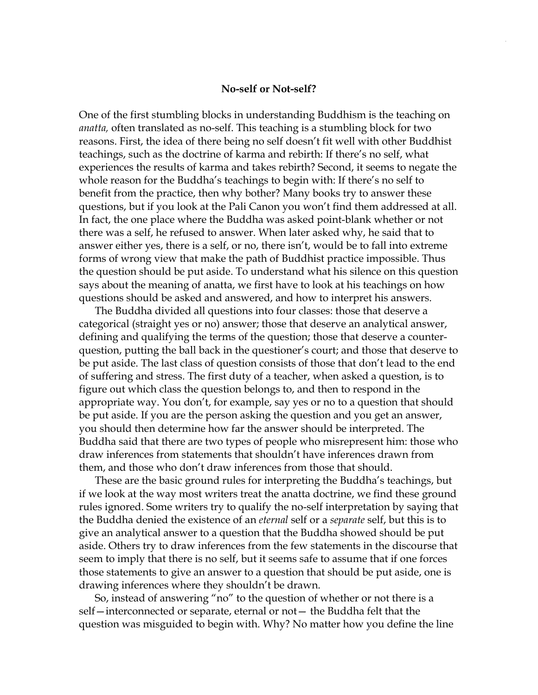## **No-self or Not-self?**

One of the first stumbling blocks in understanding Buddhism is the teaching on *anatta,* often translated as no-self. This teaching is a stumbling block for two reasons. First, the idea of there being no self doesn't fit well with other Buddhist teachings, such as the doctrine of karma and rebirth: If there's no self, what experiences the results of karma and takes rebirth? Second, it seems to negate the whole reason for the Buddha's teachings to begin with: If there's no self to benefit from the practice, then why bother? Many books try to answer these questions, but if you look at the Pali Canon you won't find them addressed at all. In fact, the one place where the Buddha was asked point-blank whether or not there was a self, he refused to answer. When later asked why, he said that to answer either yes, there is a self, or no, there isn't, would be to fall into extreme forms of wrong view that make the path of Buddhist practice impossible. Thus the question should be put aside. To understand what his silence on this question says about the meaning of anatta, we first have to look at his teachings on how questions should be asked and answered, and how to interpret his answers.

The Buddha divided all questions into four classes: those that deserve a categorical (straight yes or no) answer; those that deserve an analytical answer, defining and qualifying the terms of the question; those that deserve a counterquestion, putting the ball back in the questioner's court; and those that deserve to be put aside. The last class of question consists of those that don't lead to the end of suffering and stress. The first duty of a teacher, when asked a question, is to figure out which class the question belongs to, and then to respond in the appropriate way. You don't, for example, say yes or no to a question that should be put aside. If you are the person asking the question and you get an answer, you should then determine how far the answer should be interpreted. The Buddha said that there are two types of people who misrepresent him: those who draw inferences from statements that shouldn't have inferences drawn from them, and those who don't draw inferences from those that should.

These are the basic ground rules for interpreting the Buddha's teachings, but if we look at the way most writers treat the anatta doctrine, we find these ground rules ignored. Some writers try to qualify the no-self interpretation by saying that the Buddha denied the existence of an *eternal* self or a *separate* self, but this is to give an analytical answer to a question that the Buddha showed should be put aside. Others try to draw inferences from the few statements in the discourse that seem to imply that there is no self, but it seems safe to assume that if one forces those statements to give an answer to a question that should be put aside, one is drawing inferences where they shouldn't be drawn.

So, instead of answering "no" to the question of whether or not there is a self—interconnected or separate, eternal or not— the Buddha felt that the question was misguided to begin with. Why? No matter how you define the line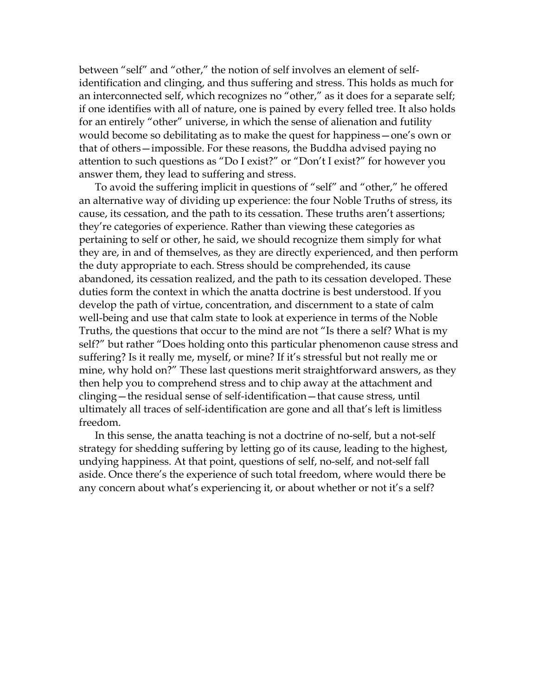between "self" and "other," the notion of self involves an element of selfidentification and clinging, and thus suffering and stress. This holds as much for an interconnected self, which recognizes no "other," as it does for a separate self; if one identifies with all of nature, one is pained by every felled tree. It also holds for an entirely "other" universe, in which the sense of alienation and futility would become so debilitating as to make the quest for happiness—one's own or that of others—impossible. For these reasons, the Buddha advised paying no attention to such questions as "Do I exist?" or "Don't I exist?" for however you answer them, they lead to suffering and stress.

To avoid the suffering implicit in questions of "self" and "other," he offered an alternative way of dividing up experience: the four Noble Truths of stress, its cause, its cessation, and the path to its cessation. These truths aren't assertions; they're categories of experience. Rather than viewing these categories as pertaining to self or other, he said, we should recognize them simply for what they are, in and of themselves, as they are directly experienced, and then perform the duty appropriate to each. Stress should be comprehended, its cause abandoned, its cessation realized, and the path to its cessation developed. These duties form the context in which the anatta doctrine is best understood. If you develop the path of virtue, concentration, and discernment to a state of calm well-being and use that calm state to look at experience in terms of the Noble Truths, the questions that occur to the mind are not "Is there a self? What is my self?" but rather "Does holding onto this particular phenomenon cause stress and suffering? Is it really me, myself, or mine? If it's stressful but not really me or mine, why hold on?" These last questions merit straightforward answers, as they then help you to comprehend stress and to chip away at the attachment and clinging—the residual sense of self-identification—that cause stress, until ultimately all traces of self-identification are gone and all that's left is limitless freedom.

In this sense, the anatta teaching is not a doctrine of no-self, but a not-self strategy for shedding suffering by letting go of its cause, leading to the highest, undying happiness. At that point, questions of self, no-self, and not-self fall aside. Once there's the experience of such total freedom, where would there be any concern about what's experiencing it, or about whether or not it's a self?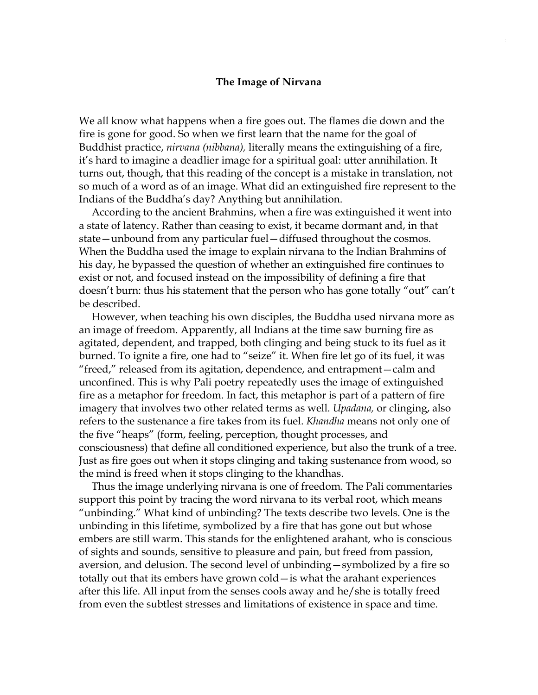## **The Image of Nirvana**

We all know what happens when a fire goes out. The flames die down and the fire is gone for good. So when we first learn that the name for the goal of Buddhist practice, *nirvana (nibbana),* literally means the extinguishing of a fire, it's hard to imagine a deadlier image for a spiritual goal: utter annihilation. It turns out, though, that this reading of the concept is a mistake in translation, not so much of a word as of an image. What did an extinguished fire represent to the Indians of the Buddha's day? Anything but annihilation.

According to the ancient Brahmins, when a fire was extinguished it went into a state of latency. Rather than ceasing to exist, it became dormant and, in that state—unbound from any particular fuel—diffused throughout the cosmos. When the Buddha used the image to explain nirvana to the Indian Brahmins of his day, he bypassed the question of whether an extinguished fire continues to exist or not, and focused instead on the impossibility of defining a fire that doesn't burn: thus his statement that the person who has gone totally "out" can't be described.

However, when teaching his own disciples, the Buddha used nirvana more as an image of freedom. Apparently, all Indians at the time saw burning fire as agitated, dependent, and trapped, both clinging and being stuck to its fuel as it burned. To ignite a fire, one had to "seize" it. When fire let go of its fuel, it was "freed," released from its agitation, dependence, and entrapment—calm and unconfined. This is why Pali poetry repeatedly uses the image of extinguished fire as a metaphor for freedom. In fact, this metaphor is part of a pattern of fire imagery that involves two other related terms as well. *Upadana,* or clinging, also refers to the sustenance a fire takes from its fuel. *Khandha* means not only one of the five "heaps" (form, feeling, perception, thought processes, and consciousness) that define all conditioned experience, but also the trunk of a tree. Just as fire goes out when it stops clinging and taking sustenance from wood, so the mind is freed when it stops clinging to the khandhas.

Thus the image underlying nirvana is one of freedom. The Pali commentaries support this point by tracing the word nirvana to its verbal root, which means "unbinding." What kind of unbinding? The texts describe two levels. One is the unbinding in this lifetime, symbolized by a fire that has gone out but whose embers are still warm. This stands for the enlightened arahant, who is conscious of sights and sounds, sensitive to pleasure and pain, but freed from passion, aversion, and delusion. The second level of unbinding—symbolized by a fire so totally out that its embers have grown cold—is what the arahant experiences after this life. All input from the senses cools away and he/she is totally freed from even the subtlest stresses and limitations of existence in space and time.